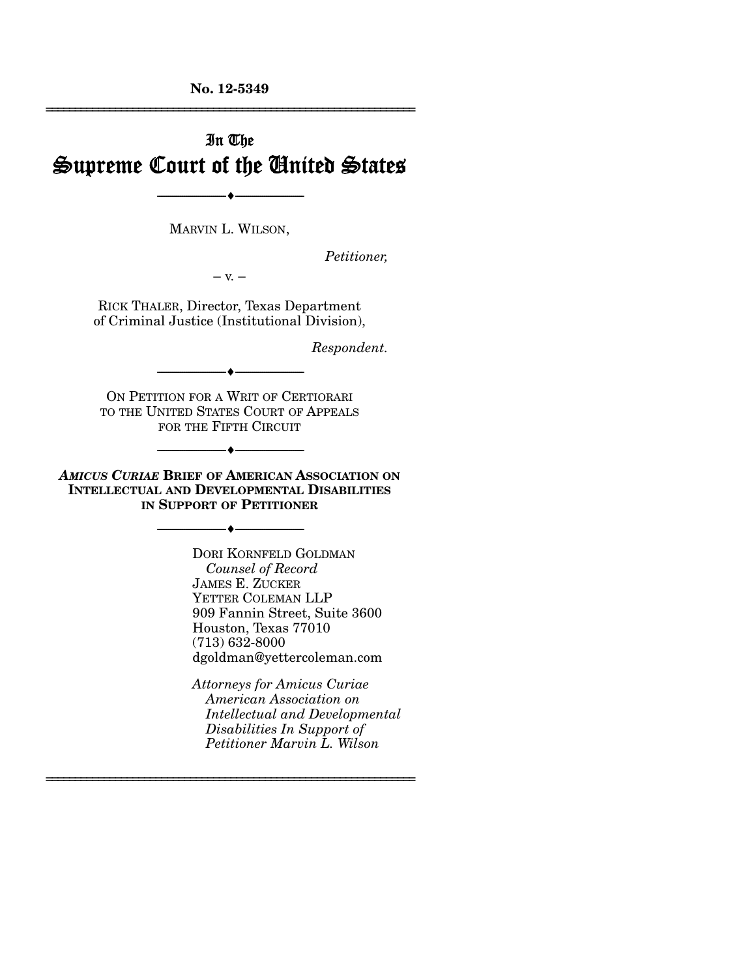**No. 12-5349**  ================================================================

# In The Supreme Court of the United States

MARVIN L. WILSON,

--------------------------------- ---------------------------------

*Petitioner,* 

 $-$  v.  $-$ 

RICK THALER, Director, Texas Department of Criminal Justice (Institutional Division),

*Respondent.* 

ON PETITION FOR A WRIT OF CERTIORARI TO THE UNITED STATES COURT OF APPEALS FOR THE FIFTH CIRCUIT

--------------------------------- ---------------------------------

--------------------------------- ---------------------------------

*AMICUS CURIAE* **BRIEF OF AMERICAN ASSOCIATION ON INTELLECTUAL AND DEVELOPMENTAL DISABILITIES IN SUPPORT OF PETITIONER**

--------------------------------- ---------------------------------

================================================================

DORI KORNFELD GOLDMAN  *Counsel of Record*  JAMES E. ZUCKER YETTER COLEMAN LLP 909 Fannin Street, Suite 3600 Houston, Texas 77010 (713) 632-8000 dgoldman@yettercoleman.com

*Attorneys for Amicus Curiae American Association on Intellectual and Developmental Disabilities In Support of Petitioner Marvin L. Wilson*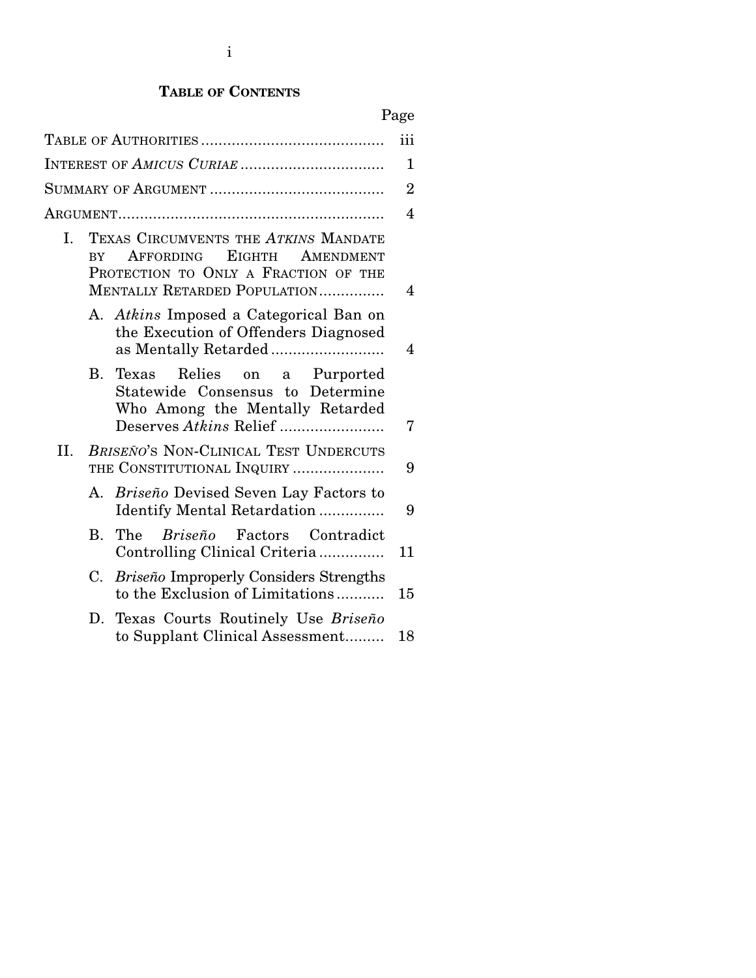## **TABLE OF CONTENTS**

|--|

|     |                        |                                                                                                                                                         | iii            |
|-----|------------------------|---------------------------------------------------------------------------------------------------------------------------------------------------------|----------------|
|     |                        | INTEREST OF AMICUS CURIAE                                                                                                                               | 1              |
|     |                        |                                                                                                                                                         | $\overline{2}$ |
|     |                        |                                                                                                                                                         | 4              |
| I.  | $\overline{\text{RY}}$ | TEXAS CIRCUMVENTS THE ATKINS MANDATE<br><b>EIGHTH</b><br>AFFORDING<br>AMENDMENT<br>PROTECTION TO ONLY A FRACTION OF THE<br>MENTALLY RETARDED POPULATION | 4              |
|     |                        | A. Atkins Imposed a Categorical Ban on<br>the Execution of Offenders Diagnosed<br>as Mentally Retarded                                                  | 4              |
|     | В.                     | Relies on a Purported<br>Texas<br>Statewide Consensus to Determine<br>Who Among the Mentally Retarded                                                   | 7              |
| II. |                        | BRISEÑO'S NON-CLINICAL TEST UNDERCUTS<br>THE CONSTITUTIONAL INQUIRY                                                                                     | 9              |
|     |                        | A. Briseño Devised Seven Lay Factors to<br>Identify Mental Retardation                                                                                  | 9              |
|     | В.                     | The<br>Briseño<br>Factors Contradict<br>Controlling Clinical Criteria                                                                                   | 11             |
|     | C.                     | <b>Briseño Improperly Considers Strengths</b><br>to the Exclusion of Limitations                                                                        | 15             |
|     | D.                     | Texas Courts Routinely Use Briseño<br>to Supplant Clinical Assessment                                                                                   | 18             |
|     |                        |                                                                                                                                                         |                |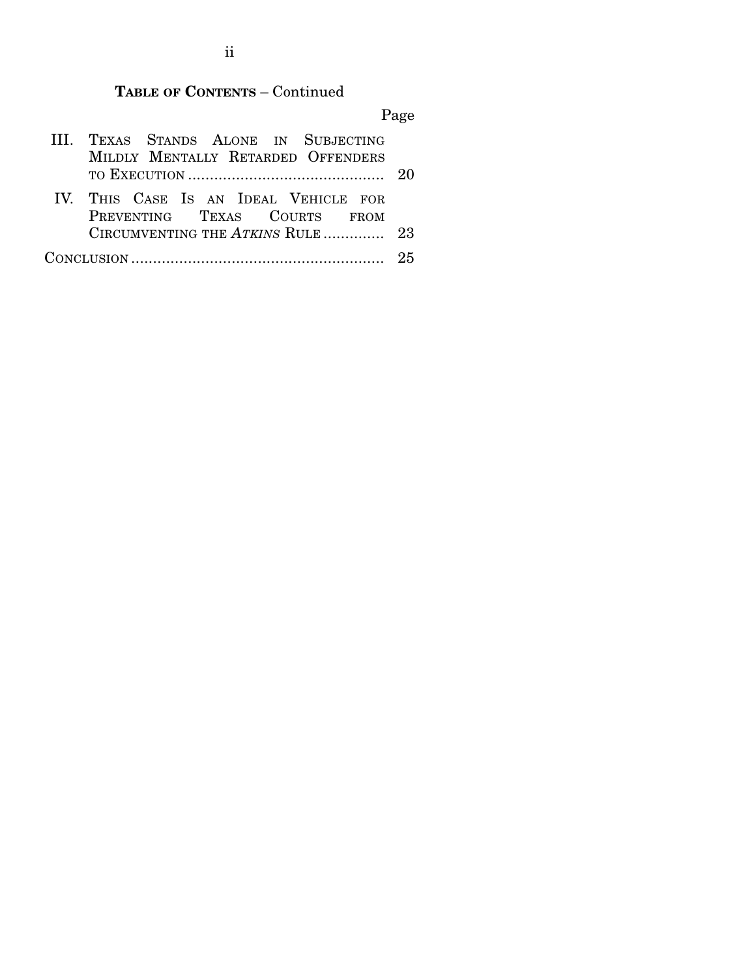## **TABLE OF CONTENTS** – Continued

Page

| III. TEXAS STANDS ALONE IN SUBJECTING |  |
|---------------------------------------|--|
| MILDLY MENTALLY RETARDED OFFENDERS    |  |
|                                       |  |
| IV. THIS CASE IS AN IDEAL VEHICLE FOR |  |
| PREVENTING TEXAS COURTS FROM          |  |
| CIRCUMVENTING THE ATKINS RULE 23      |  |
|                                       |  |

ii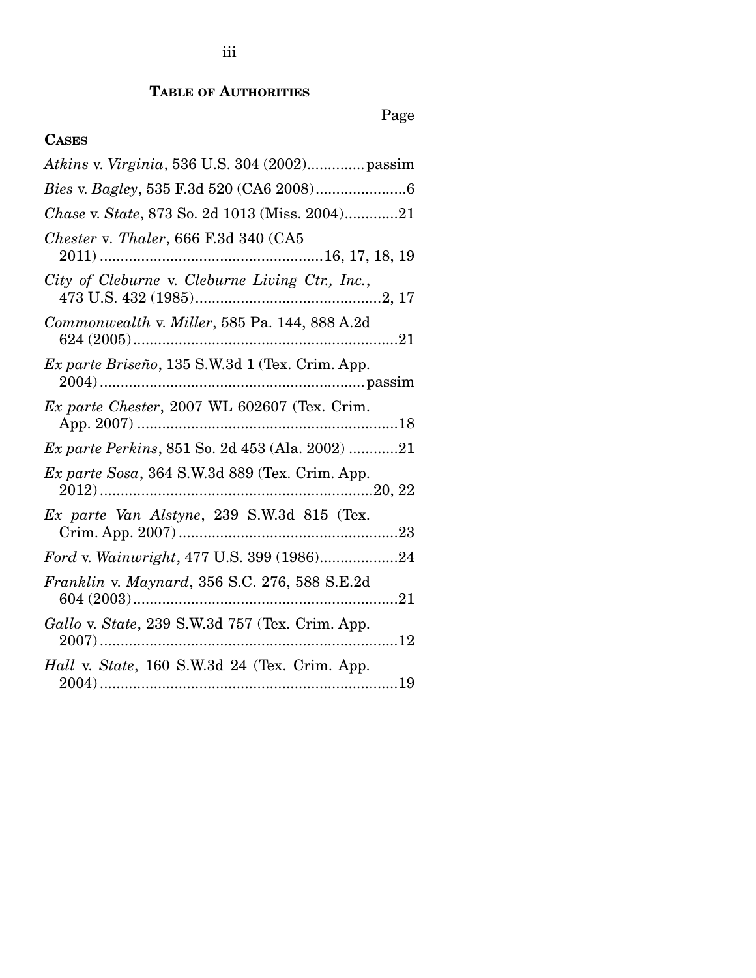### **TABLE OF AUTHORITIES**

# Page

## **CASES**

| Chase v. State, 873 So. 2d 1013 (Miss. 2004)21          |
|---------------------------------------------------------|
| Chester v. Thaler, 666 F.3d 340 (CA5                    |
| City of Cleburne v. Cleburne Living Ctr., Inc.,         |
| Commonwealth v. Miller, 585 Pa. 144, 888 A.2d           |
| Ex parte Briseño, 135 S.W.3d 1 (Tex. Crim. App.         |
| Ex parte Chester, 2007 WL 602607 (Tex. Crim.            |
| <i>Ex parte Perkins</i> , 851 So. 2d 453 (Ala. 2002) 21 |
| Ex parte Sosa, 364 S.W.3d 889 (Tex. Crim. App.          |
| Ex parte Van Alstyne, 239 S.W.3d 815 (Tex.              |
| Ford v. Wainwright, 477 U.S. 399 (1986)24               |
| Franklin v. Maynard, 356 S.C. 276, 588 S.E.2d           |
| Gallo v. State, 239 S.W.3d 757 (Tex. Crim. App.         |
| Hall v. State, 160 S.W.3d 24 (Tex. Crim. App.           |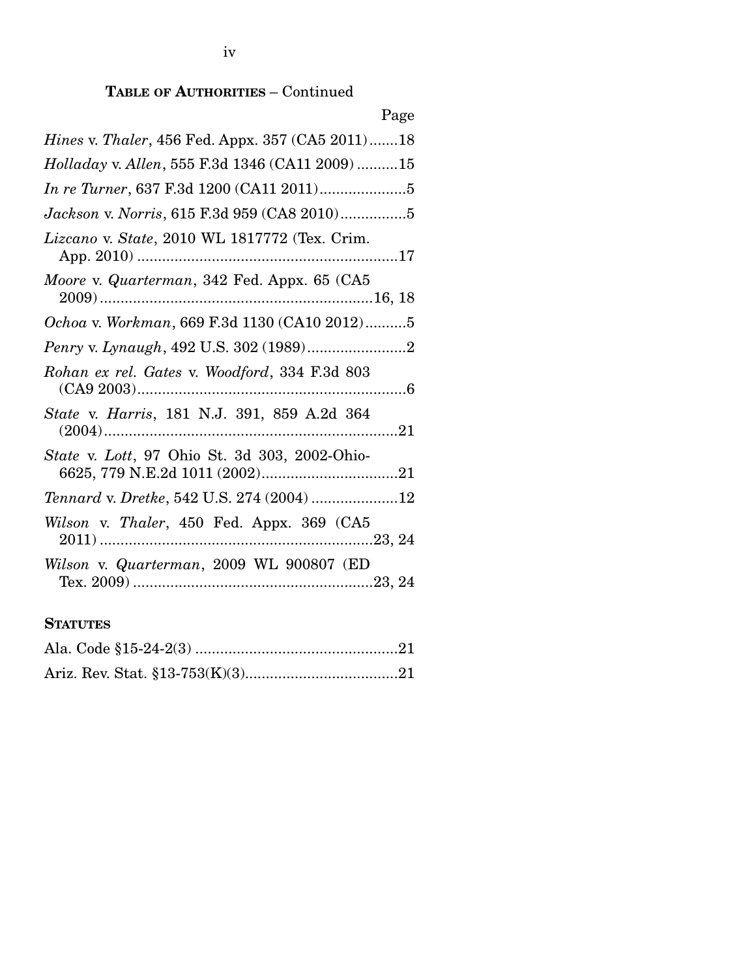| Page                                                     |
|----------------------------------------------------------|
| <i>Hines v. Thaler</i> , 456 Fed. Appx. 357 (CA5 2011)18 |
| Holladay v. Allen, 555 F.3d 1346 (CA11 2009) 15          |
|                                                          |
| Jackson v. Norris, 615 F.3d 959 (CA8 2010)5              |
| Lizcano v. State, 2010 WL 1817772 (Tex. Crim.            |
| Moore v. Quarterman, 342 Fed. Appx. 65 (CA5              |
| Ochoa v. Workman, 669 F.3d 1130 (CA10 2012)5             |
|                                                          |
| Rohan ex rel. Gates v. Woodford, 334 F.3d 803            |
| <i>State v. Harris</i> , 181 N.J. 391, 859 A.2d 364      |
| State v. Lott, 97 Ohio St. 3d 303, 2002-Ohio-            |
| Tennard v. Dretke, 542 U.S. 274 (2004) 12                |
| Wilson v. Thaler, 450 Fed. Appx. 369 (CA5                |
| Wilson v. Quarterman, 2009 WL 900807 (ED                 |

## **STATUTES**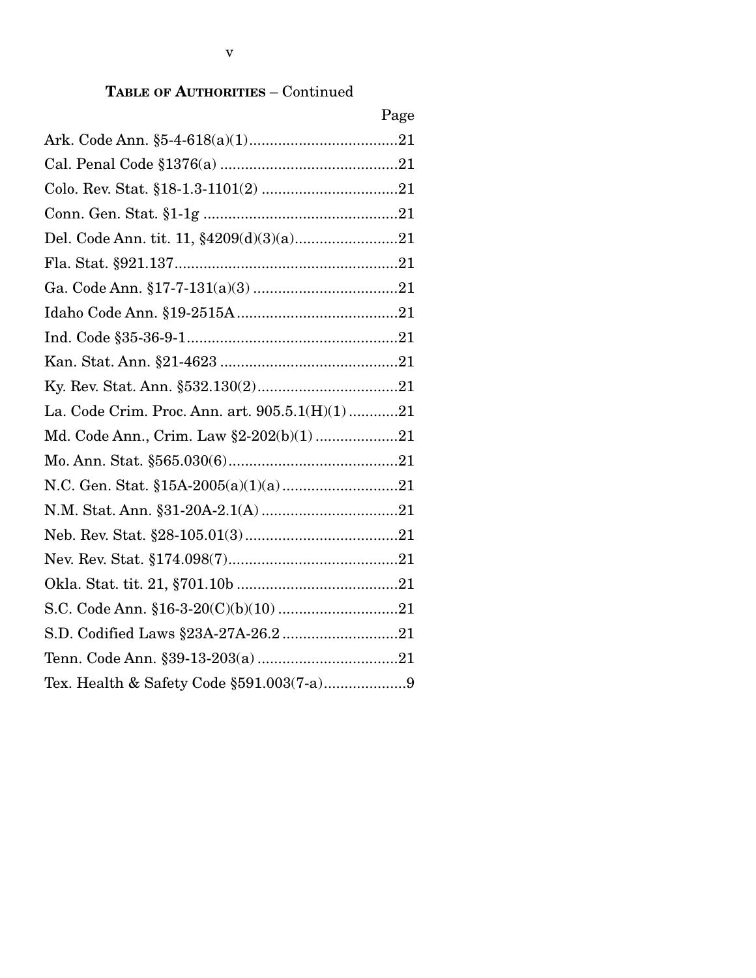|                                                | Page |
|------------------------------------------------|------|
|                                                |      |
|                                                |      |
|                                                |      |
|                                                |      |
|                                                |      |
|                                                |      |
|                                                |      |
|                                                |      |
|                                                |      |
|                                                |      |
|                                                |      |
| La. Code Crim. Proc. Ann. art. 905.5.1(H)(1)21 |      |
| Md. Code Ann., Crim. Law §2-202(b)(1)21        |      |
|                                                |      |
|                                                |      |
|                                                |      |
|                                                |      |
|                                                |      |
|                                                |      |
|                                                |      |
| S.D. Codified Laws §23A-27A-26.2 21            |      |
|                                                |      |
| Tex. Health & Safety Code §591.003(7-a)9       |      |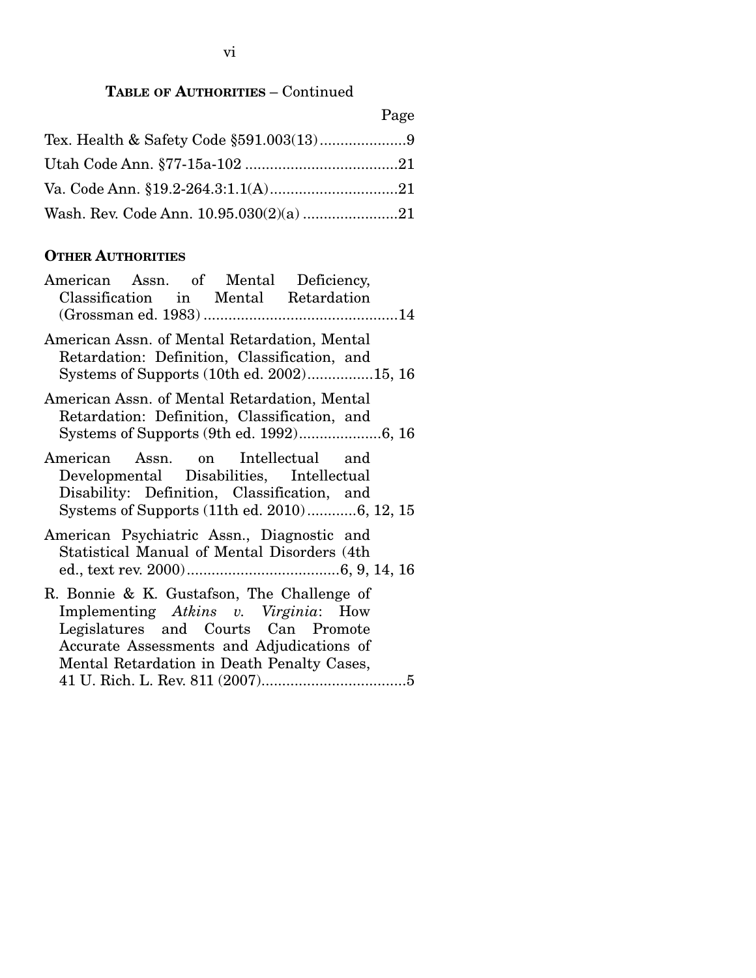Page

### **OTHER AUTHORITIES**

| American Assn. of Mental Deficiency,<br>Classification in Mental Retardation                                                                                                                                         |
|----------------------------------------------------------------------------------------------------------------------------------------------------------------------------------------------------------------------|
| American Assn. of Mental Retardation, Mental<br>Retardation: Definition, Classification, and<br>Systems of Supports (10th ed. 2002)15, 16                                                                            |
| American Assn. of Mental Retardation, Mental<br>Retardation: Definition, Classification, and                                                                                                                         |
| American Assn. on Intellectual and<br>Developmental Disabilities, Intellectual<br>Disability: Definition, Classification, and<br>Systems of Supports (11th ed. 2010)6, 12, 15                                        |
| American Psychiatric Assn., Diagnostic and<br>Statistical Manual of Mental Disorders (4th                                                                                                                            |
| R. Bonnie & K. Gustafson, The Challenge of<br>Implementing Atkins v. Virginia: How<br>Legislatures and Courts Can Promote<br>Accurate Assessments and Adjudications of<br>Mental Retardation in Death Penalty Cases, |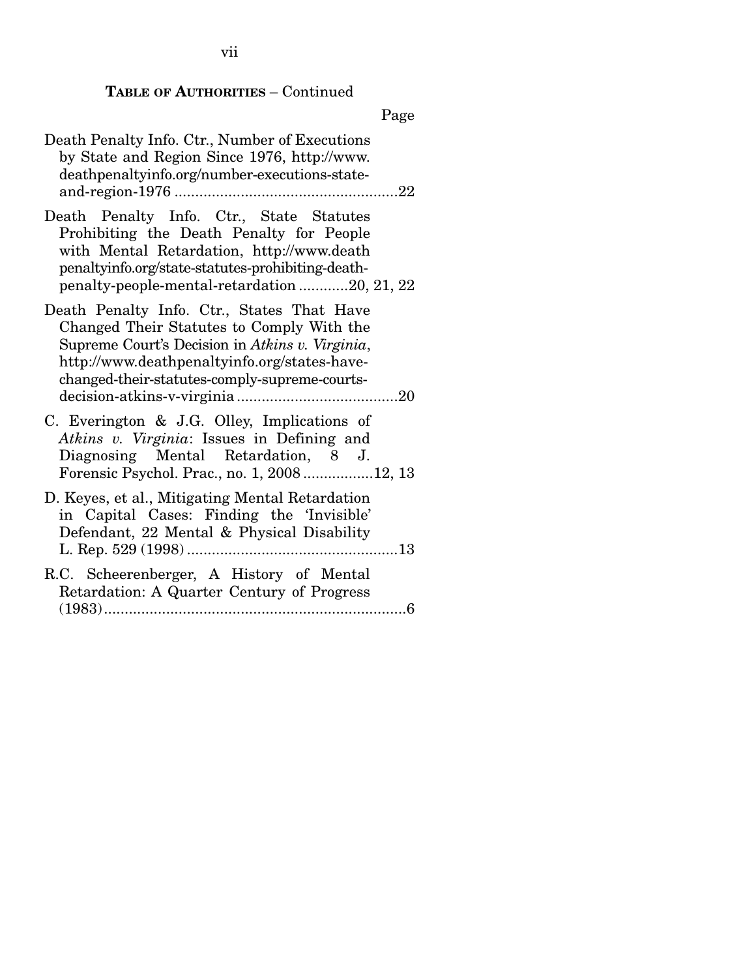## Page

| Death Penalty Info. Ctr., Number of Executions<br>by State and Region Since 1976, http://www.<br>deathpenaltyinfo.org/number-executions-state-                                                                                              |
|---------------------------------------------------------------------------------------------------------------------------------------------------------------------------------------------------------------------------------------------|
| Death Penalty Info. Ctr., State Statutes<br>Prohibiting the Death Penalty for People<br>with Mental Retardation, http://www.death<br>penaltyinfo.org/state-statutes-prohibiting-death-<br>penalty-people-mental-retardation20, 21, 22       |
| Death Penalty Info. Ctr., States That Have<br>Changed Their Statutes to Comply With the<br>Supreme Court's Decision in Atkins v. Virginia,<br>http://www.deathpenaltyinfo.org/states-have-<br>changed-their-statutes-comply-supreme-courts- |
| C. Everington & J.G. Olley, Implications of<br>Atkins v. Virginia: Issues in Defining and<br>Diagnosing Mental Retardation, 8 J.<br>Forensic Psychol. Prac., no. 1, 200812, 13                                                              |
| D. Keyes, et al., Mitigating Mental Retardation<br>in Capital Cases: Finding the 'Invisible'<br>Defendant, 22 Mental & Physical Disability                                                                                                  |
| R.C. Scheerenberger, A History of Mental<br>Retardation: A Quarter Century of Progress                                                                                                                                                      |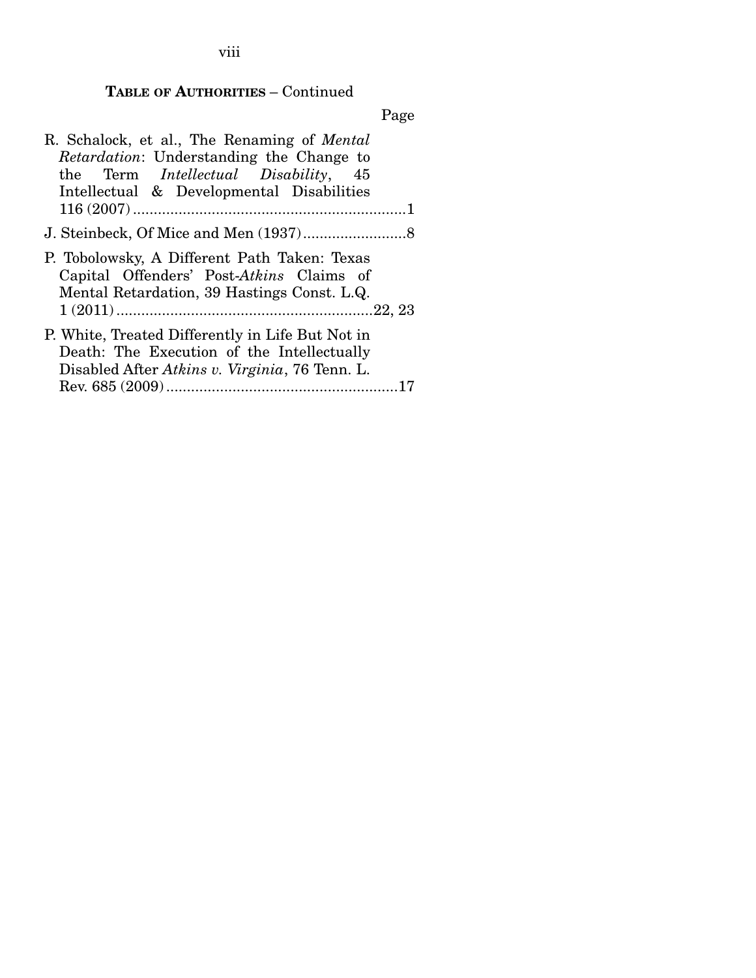viii

## **TABLE OF AUTHORITIES** – Continued

Page

| R. Schalock, et al., The Renaming of <i>Mental</i><br><i>Retardation:</i> Understanding the Change to<br>the Term <i>Intellectual</i> Disability, 45<br>Intellectual & Developmental Disabilities |  |
|---------------------------------------------------------------------------------------------------------------------------------------------------------------------------------------------------|--|
|                                                                                                                                                                                                   |  |
| P. Tobolowsky, A Different Path Taken: Texas<br>Capital Offenders' Post-Atkins Claims of<br>Mental Retardation, 39 Hastings Const. L.Q.                                                           |  |
| P. White, Treated Differently in Life But Not in<br>Death: The Execution of the Intellectually<br>Disabled After Atkins v. Virginia, 76 Tenn. L.                                                  |  |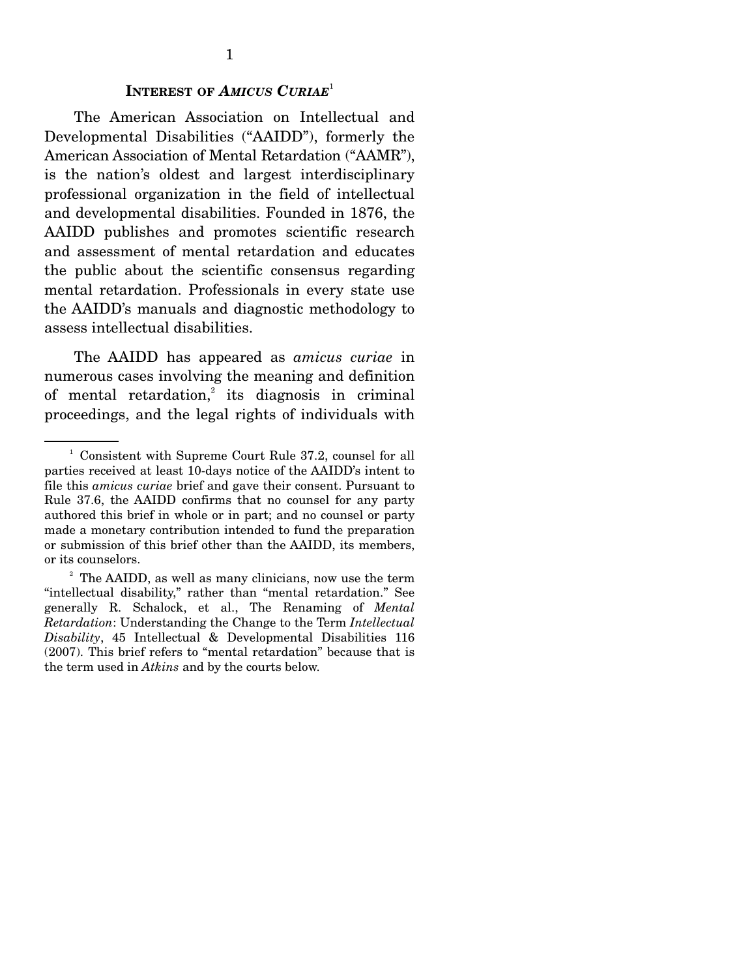#### **INTEREST OF** *AMICUS CURIAE*<sup>1</sup>

 The American Association on Intellectual and Developmental Disabilities ("AAIDD"), formerly the American Association of Mental Retardation ("AAMR"), is the nation's oldest and largest interdisciplinary professional organization in the field of intellectual and developmental disabilities. Founded in 1876, the AAIDD publishes and promotes scientific research and assessment of mental retardation and educates the public about the scientific consensus regarding mental retardation. Professionals in every state use the AAIDD's manuals and diagnostic methodology to assess intellectual disabilities.

 The AAIDD has appeared as *amicus curiae* in numerous cases involving the meaning and definition of mental retardation,<sup>2</sup> its diagnosis in criminal proceedings, and the legal rights of individuals with

<sup>&</sup>lt;sup>1</sup> Consistent with Supreme Court Rule 37.2, counsel for all parties received at least 10-days notice of the AAIDD's intent to file this *amicus curiae* brief and gave their consent. Pursuant to Rule 37.6, the AAIDD confirms that no counsel for any party authored this brief in whole or in part; and no counsel or party made a monetary contribution intended to fund the preparation or submission of this brief other than the AAIDD, its members, or its counselors.

<sup>&</sup>lt;sup>2</sup> The AAIDD, as well as many clinicians, now use the term "intellectual disability," rather than "mental retardation." See generally R. Schalock, et al., The Renaming of *Mental Retardation*: Understanding the Change to the Term *Intellectual Disability*, 45 Intellectual & Developmental Disabilities 116 (2007). This brief refers to "mental retardation" because that is the term used in *Atkins* and by the courts below.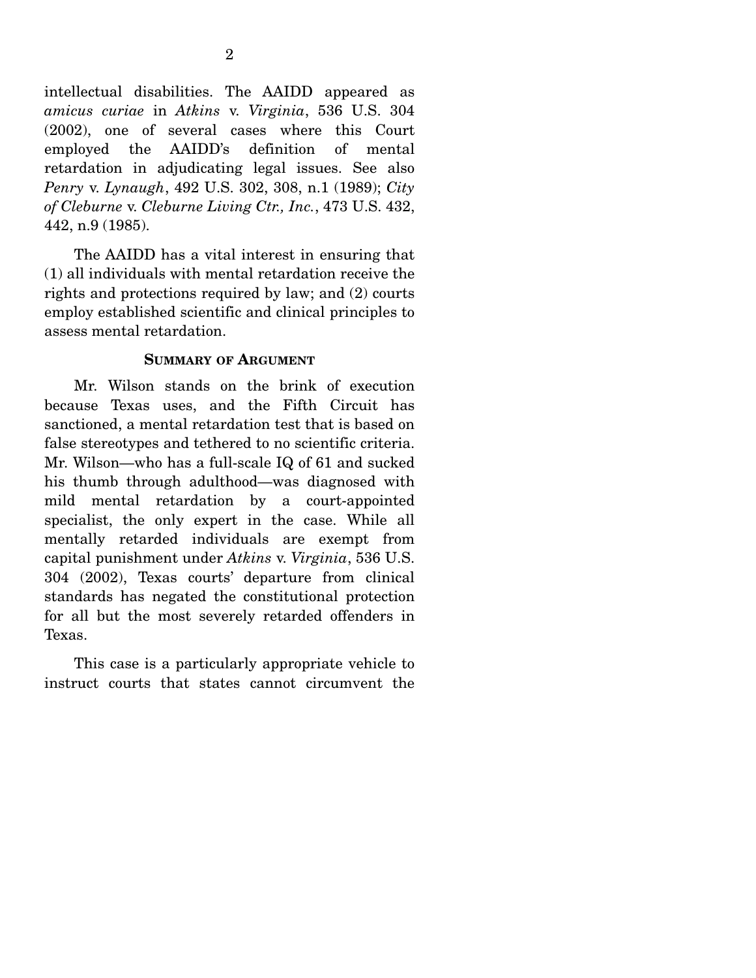intellectual disabilities. The AAIDD appeared as *amicus curiae* in *Atkins* v. *Virginia*, 536 U.S. 304 (2002), one of several cases where this Court employed the AAIDD's definition of mental retardation in adjudicating legal issues. See also *Penry* v. *Lynaugh*, 492 U.S. 302, 308, n.1 (1989); *City of Cleburne* v. *Cleburne Living Ctr., Inc.*, 473 U.S. 432, 442, n.9 (1985).

 The AAIDD has a vital interest in ensuring that (1) all individuals with mental retardation receive the rights and protections required by law; and (2) courts employ established scientific and clinical principles to assess mental retardation.

#### **SUMMARY OF ARGUMENT**

 Mr. Wilson stands on the brink of execution because Texas uses, and the Fifth Circuit has sanctioned, a mental retardation test that is based on false stereotypes and tethered to no scientific criteria. Mr. Wilson—who has a full-scale IQ of 61 and sucked his thumb through adulthood—was diagnosed with mild mental retardation by a court-appointed specialist, the only expert in the case. While all mentally retarded individuals are exempt from capital punishment under *Atkins* v. *Virginia*, 536 U.S. 304 (2002), Texas courts' departure from clinical standards has negated the constitutional protection for all but the most severely retarded offenders in Texas.

 This case is a particularly appropriate vehicle to instruct courts that states cannot circumvent the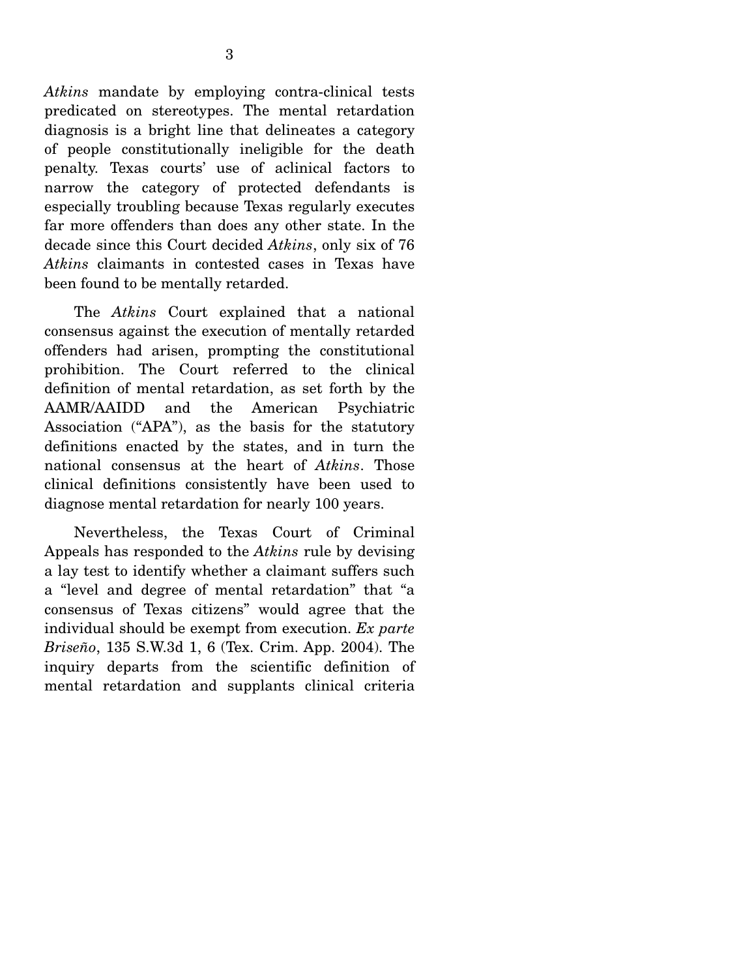*Atkins* mandate by employing contra-clinical tests predicated on stereotypes. The mental retardation diagnosis is a bright line that delineates a category of people constitutionally ineligible for the death penalty. Texas courts' use of aclinical factors to narrow the category of protected defendants is especially troubling because Texas regularly executes far more offenders than does any other state. In the decade since this Court decided *Atkins*, only six of 76 *Atkins* claimants in contested cases in Texas have been found to be mentally retarded.

 The *Atkins* Court explained that a national consensus against the execution of mentally retarded offenders had arisen, prompting the constitutional prohibition. The Court referred to the clinical definition of mental retardation, as set forth by the AAMR/AAIDD and the American Psychiatric Association ("APA"), as the basis for the statutory definitions enacted by the states, and in turn the national consensus at the heart of *Atkins*. Those clinical definitions consistently have been used to diagnose mental retardation for nearly 100 years.

 Nevertheless, the Texas Court of Criminal Appeals has responded to the *Atkins* rule by devising a lay test to identify whether a claimant suffers such a "level and degree of mental retardation" that "a consensus of Texas citizens" would agree that the individual should be exempt from execution. *Ex parte Briseño*, 135 S.W.3d 1, 6 (Tex. Crim. App. 2004). The inquiry departs from the scientific definition of mental retardation and supplants clinical criteria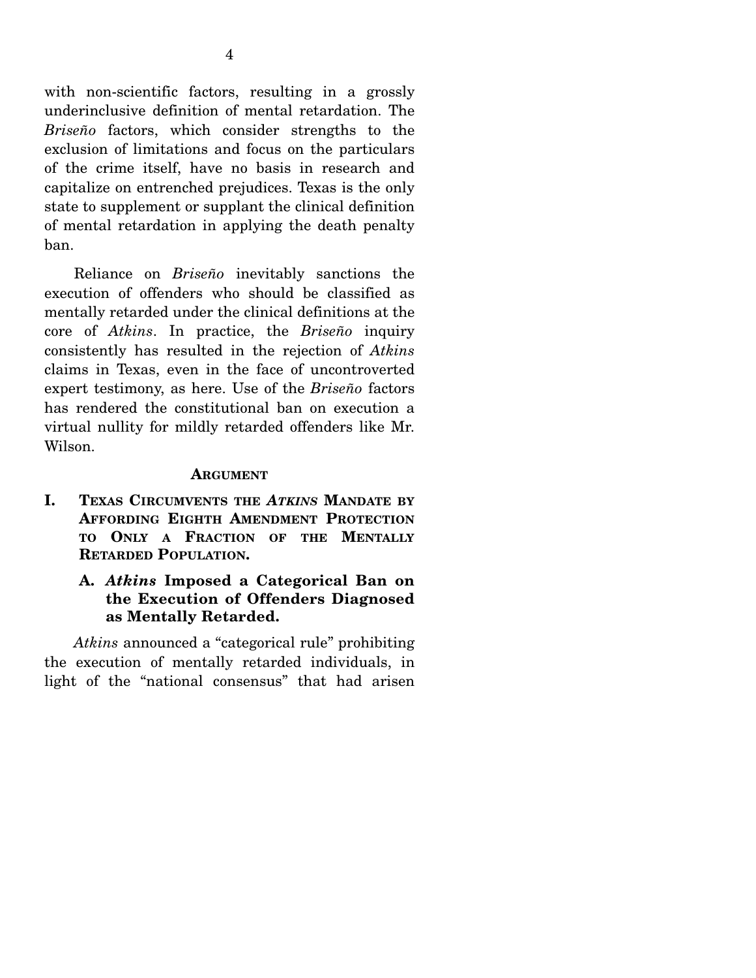with non-scientific factors, resulting in a grossly underinclusive definition of mental retardation. The *Briseño* factors, which consider strengths to the exclusion of limitations and focus on the particulars of the crime itself, have no basis in research and capitalize on entrenched prejudices. Texas is the only state to supplement or supplant the clinical definition of mental retardation in applying the death penalty ban.

 Reliance on *Briseño* inevitably sanctions the execution of offenders who should be classified as mentally retarded under the clinical definitions at the core of *Atkins*. In practice, the *Briseño* inquiry consistently has resulted in the rejection of *Atkins* claims in Texas, even in the face of uncontroverted expert testimony, as here. Use of the *Briseño* factors has rendered the constitutional ban on execution a virtual nullity for mildly retarded offenders like Mr. Wilson.

#### **ARGUMENT**

- **I. TEXAS CIRCUMVENTS THE** *ATKINS* **MANDATE BY AFFORDING EIGHTH AMENDMENT PROTECTION TO ONLY A FRACTION OF THE MENTALLY RETARDED POPULATION.** 
	- **A.** *Atkins* **Imposed a Categorical Ban on the Execution of Offenders Diagnosed as Mentally Retarded.**

*Atkins* announced a "categorical rule" prohibiting the execution of mentally retarded individuals, in light of the "national consensus" that had arisen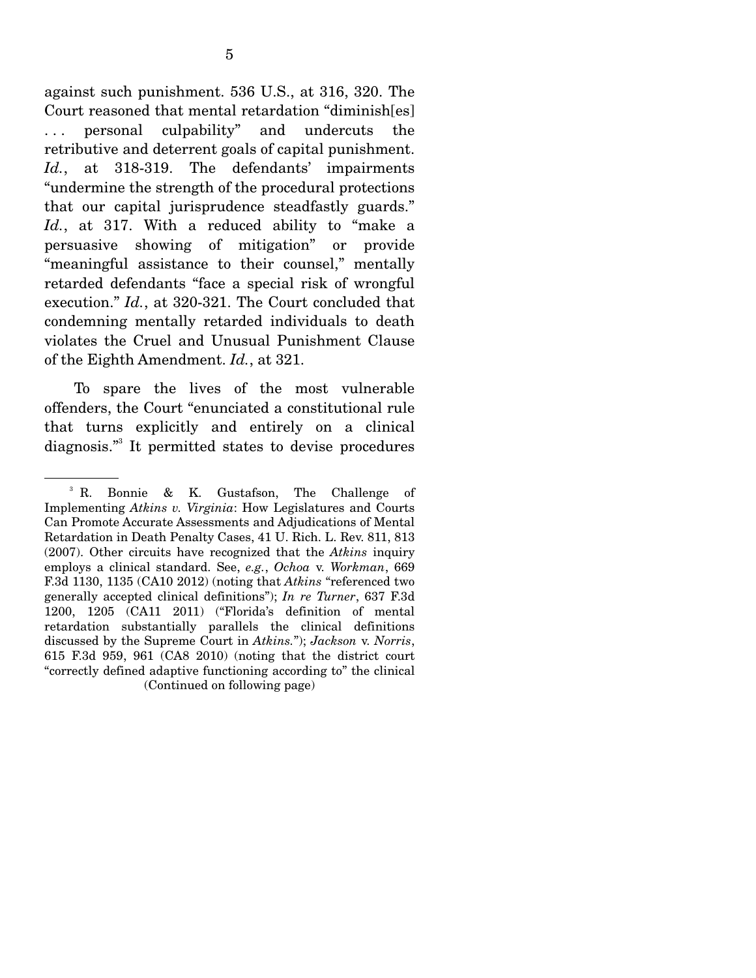against such punishment. 536 U.S., at 316, 320. The Court reasoned that mental retardation "diminish[es] . . . personal culpability" and undercuts the retributive and deterrent goals of capital punishment. *Id.*, at 318-319. The defendants' impairments "undermine the strength of the procedural protections that our capital jurisprudence steadfastly guards." *Id.*, at 317. With a reduced ability to "make a persuasive showing of mitigation" or provide "meaningful assistance to their counsel," mentally retarded defendants "face a special risk of wrongful execution." *Id.*, at 320-321. The Court concluded that condemning mentally retarded individuals to death violates the Cruel and Unusual Punishment Clause of the Eighth Amendment. *Id.*, at 321.

 To spare the lives of the most vulnerable offenders, the Court "enunciated a constitutional rule that turns explicitly and entirely on a clinical diagnosis."3 It permitted states to devise procedures

<sup>3</sup> R. Bonnie & K. Gustafson, The Challenge of Implementing *Atkins v. Virginia*: How Legislatures and Courts Can Promote Accurate Assessments and Adjudications of Mental Retardation in Death Penalty Cases, 41 U. Rich. L. Rev. 811, 813 (2007). Other circuits have recognized that the *Atkins* inquiry employs a clinical standard. See, *e.g.*, *Ochoa* v. *Workman*, 669 F.3d 1130, 1135 (CA10 2012) (noting that *Atkins* "referenced two generally accepted clinical definitions"); *In re Turner*, 637 F.3d 1200, 1205 (CA11 2011) ("Florida's definition of mental retardation substantially parallels the clinical definitions discussed by the Supreme Court in *Atkins.*"); *Jackson* v. *Norris*, 615 F.3d 959, 961 (CA8 2010) (noting that the district court "correctly defined adaptive functioning according to" the clinical (Continued on following page)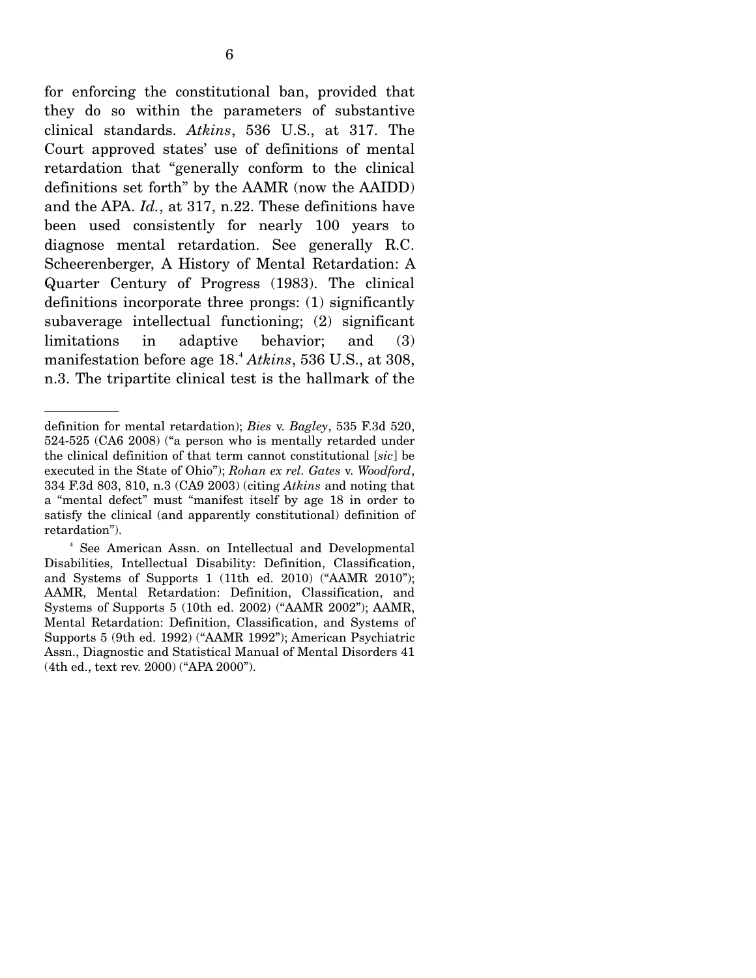for enforcing the constitutional ban, provided that they do so within the parameters of substantive clinical standards. *Atkins*, 536 U.S., at 317. The Court approved states' use of definitions of mental retardation that "generally conform to the clinical definitions set forth" by the AAMR (now the AAIDD) and the APA. *Id.*, at 317, n.22. These definitions have been used consistently for nearly 100 years to diagnose mental retardation. See generally R.C. Scheerenberger, A History of Mental Retardation: A Quarter Century of Progress (1983). The clinical definitions incorporate three prongs: (1) significantly subaverage intellectual functioning; (2) significant limitations in adaptive behavior; and (3) manifestation before age 18.<sup>4</sup> *Atkins*, 536 U.S., at 308, n.3. The tripartite clinical test is the hallmark of the

definition for mental retardation); *Bies* v. *Bagley*, 535 F.3d 520, 524-525 (CA6 2008) ("a person who is mentally retarded under the clinical definition of that term cannot constitutional [*sic*] be executed in the State of Ohio"); *Rohan ex rel. Gates* v. *Woodford*, 334 F.3d 803, 810, n.3 (CA9 2003) (citing *Atkins* and noting that a "mental defect" must "manifest itself by age 18 in order to satisfy the clinical (and apparently constitutional) definition of retardation").

<sup>4</sup> See American Assn. on Intellectual and Developmental Disabilities, Intellectual Disability: Definition, Classification, and Systems of Supports 1 (11th ed. 2010) ("AAMR 2010"); AAMR, Mental Retardation: Definition, Classification, and Systems of Supports 5 (10th ed. 2002) ("AAMR 2002"); AAMR, Mental Retardation: Definition, Classification, and Systems of Supports 5 (9th ed. 1992) ("AAMR 1992"); American Psychiatric Assn., Diagnostic and Statistical Manual of Mental Disorders 41 (4th ed., text rev. 2000) ("APA 2000").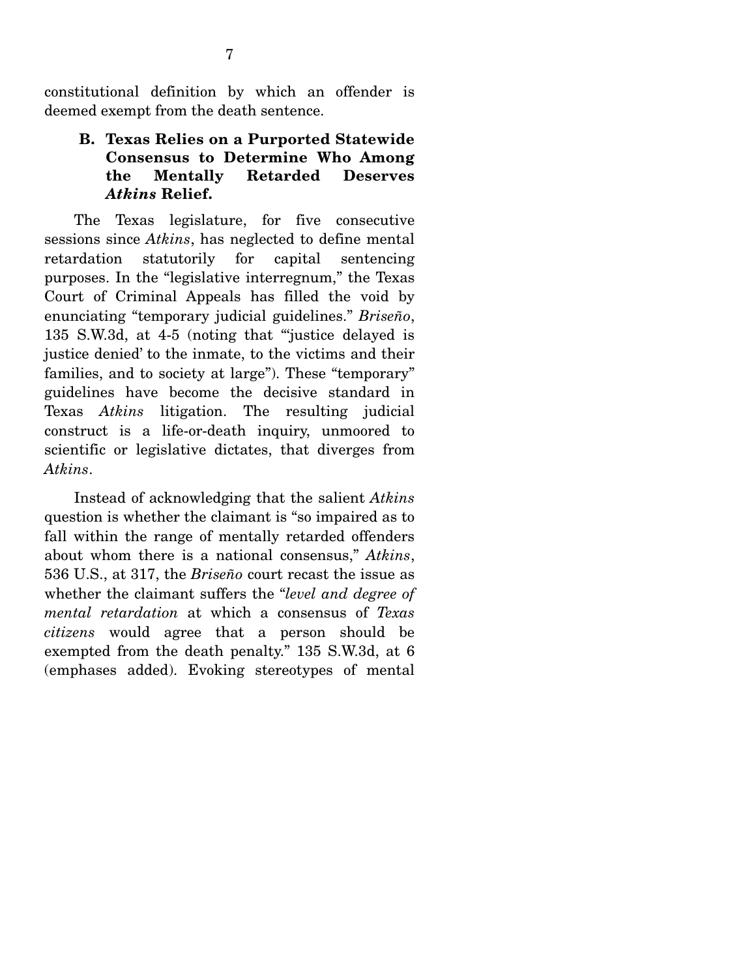constitutional definition by which an offender is deemed exempt from the death sentence.

### **B. Texas Relies on a Purported Statewide Consensus to Determine Who Among the Mentally Retarded Deserves**  *Atkins* **Relief.**

 The Texas legislature, for five consecutive sessions since *Atkins*, has neglected to define mental retardation statutorily for capital sentencing purposes. In the "legislative interregnum," the Texas Court of Criminal Appeals has filled the void by enunciating "temporary judicial guidelines." *Briseño*, 135 S.W.3d, at 4-5 (noting that "'justice delayed is justice denied' to the inmate, to the victims and their families, and to society at large"). These "temporary" guidelines have become the decisive standard in Texas *Atkins* litigation. The resulting judicial construct is a life-or-death inquiry, unmoored to scientific or legislative dictates, that diverges from *Atkins*.

 Instead of acknowledging that the salient *Atkins*  question is whether the claimant is "so impaired as to fall within the range of mentally retarded offenders about whom there is a national consensus," *Atkins*, 536 U.S., at 317, the *Briseño* court recast the issue as whether the claimant suffers the "*level and degree of mental retardation* at which a consensus of *Texas citizens* would agree that a person should be exempted from the death penalty." 135 S.W.3d, at 6 (emphases added). Evoking stereotypes of mental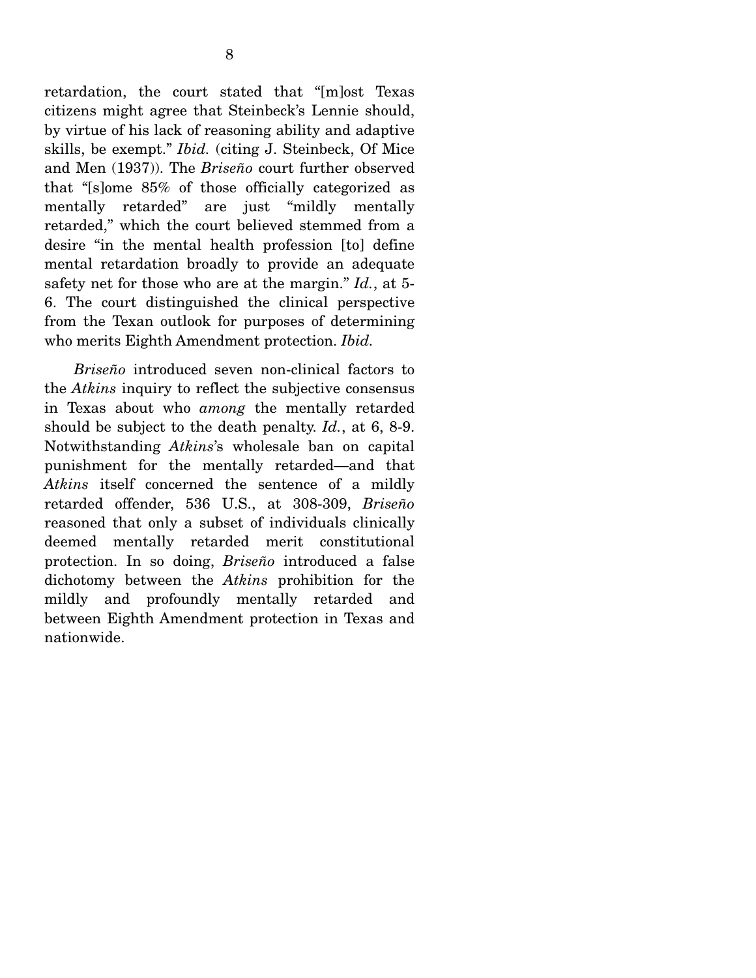retardation, the court stated that "[m]ost Texas citizens might agree that Steinbeck's Lennie should, by virtue of his lack of reasoning ability and adaptive skills, be exempt." *Ibid.* (citing J. Steinbeck, Of Mice and Men (1937)). The *Briseño* court further observed that "[s]ome 85% of those officially categorized as mentally retarded" are just "mildly mentally retarded," which the court believed stemmed from a desire "in the mental health profession [to] define mental retardation broadly to provide an adequate safety net for those who are at the margin." *Id.*, at 5- 6. The court distinguished the clinical perspective from the Texan outlook for purposes of determining who merits Eighth Amendment protection. *Ibid.*

*Briseño* introduced seven non-clinical factors to the *Atkins* inquiry to reflect the subjective consensus in Texas about who *among* the mentally retarded should be subject to the death penalty. *Id.*, at 6, 8-9. Notwithstanding *Atkins*'s wholesale ban on capital punishment for the mentally retarded—and that *Atkins* itself concerned the sentence of a mildly retarded offender, 536 U.S., at 308-309, *Briseño*  reasoned that only a subset of individuals clinically deemed mentally retarded merit constitutional protection. In so doing, *Briseño* introduced a false dichotomy between the *Atkins* prohibition for the mildly and profoundly mentally retarded and between Eighth Amendment protection in Texas and nationwide.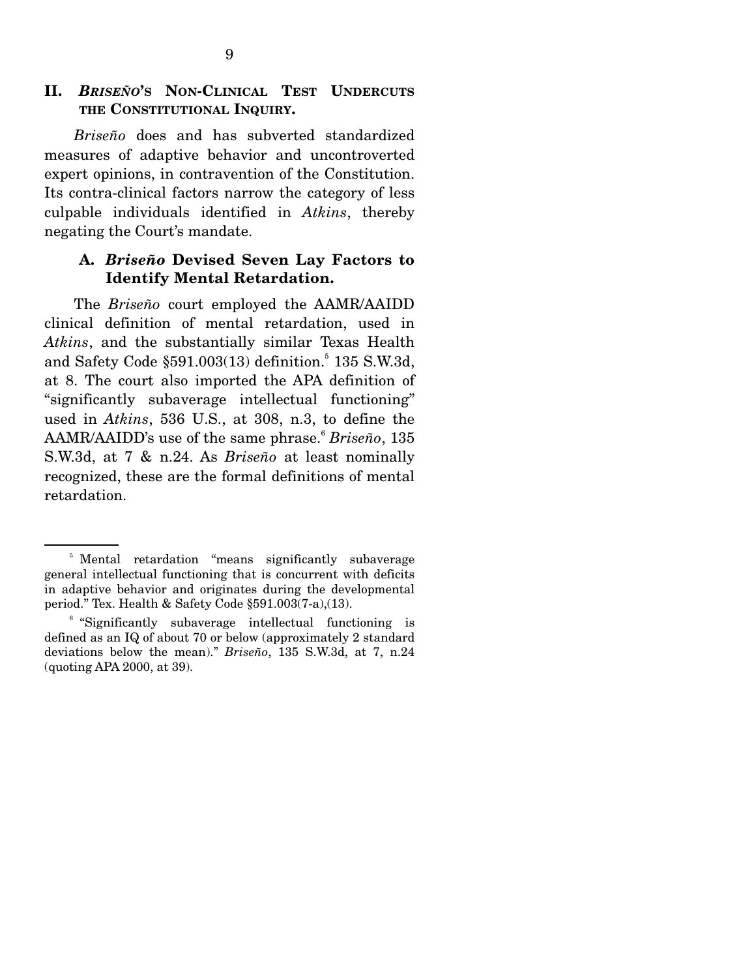### **II.** *BRISEÑO***'S NON-CLINICAL TEST UNDERCUTS THE CONSTITUTIONAL INQUIRY.**

*Briseño* does and has subverted standardized measures of adaptive behavior and uncontroverted expert opinions, in contravention of the Constitution. Its contra-clinical factors narrow the category of less culpable individuals identified in *Atkins*, thereby negating the Court's mandate.

### **A.** *Briseño* **Devised Seven Lay Factors to Identify Mental Retardation.**

 The *Briseño* court employed the AAMR/AAIDD clinical definition of mental retardation, used in *Atkins*, and the substantially similar Texas Health and Safety Code §591.003(13) definition.<sup>5</sup> 135 S.W.3d, at 8. The court also imported the APA definition of "significantly subaverage intellectual functioning" used in *Atkins*, 536 U.S., at 308, n.3, to define the AAMR/AAIDD's use of the same phrase.<sup>6</sup> Briseño, 135 S.W.3d, at 7 & n.24. As *Briseño* at least nominally recognized, these are the formal definitions of mental retardation.

<sup>&</sup>lt;sup>5</sup> Mental retardation "means significantly subaverage general intellectual functioning that is concurrent with deficits in adaptive behavior and originates during the developmental period." Tex. Health & Safety Code §591.003(7-a),(13).

<sup>&</sup>lt;sup>6</sup> "Significantly subaverage intellectual functioning is defined as an IQ of about 70 or below (approximately 2 standard deviations below the mean)." *Briseño*, 135 S.W.3d, at 7, n.24 (quoting APA 2000, at 39).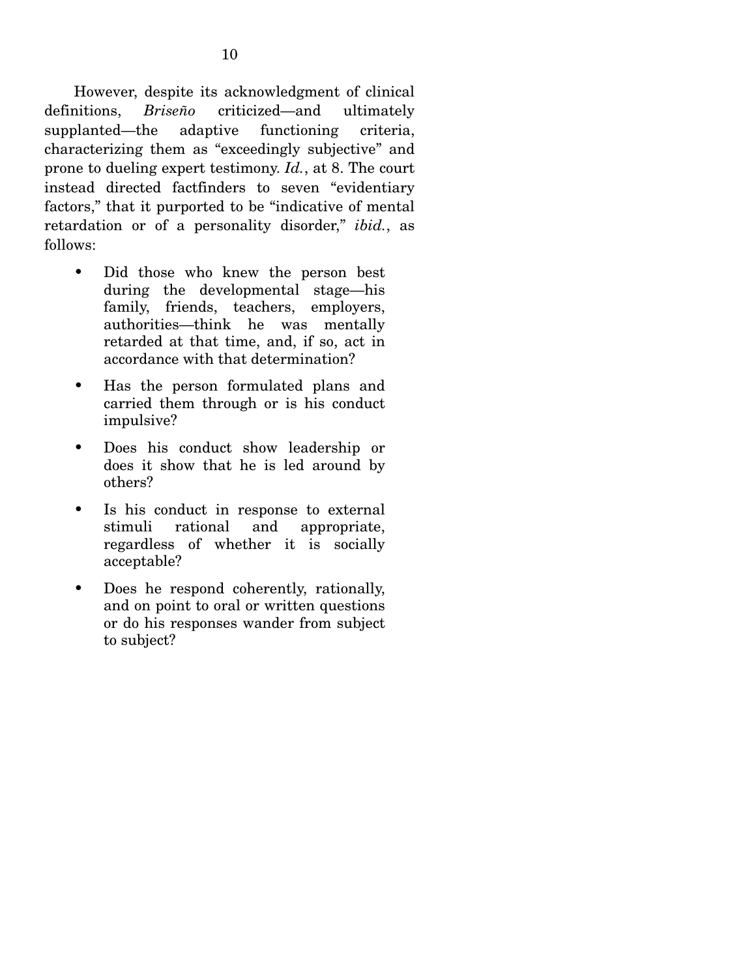However, despite its acknowledgment of clinical definitions, *Briseño* criticized—and ultimately supplanted—the adaptive functioning criteria, characterizing them as "exceedingly subjective" and prone to dueling expert testimony. *Id.*, at 8. The court instead directed factfinders to seven "evidentiary factors," that it purported to be "indicative of mental retardation or of a personality disorder," *ibid.*, as follows:

- Did those who knew the person best during the developmental stage—his family, friends, teachers, employers, authorities—think he was mentally retarded at that time, and, if so, act in accordance with that determination?
- Has the person formulated plans and carried them through or is his conduct impulsive?
- Does his conduct show leadership or does it show that he is led around by others?
- Is his conduct in response to external stimuli rational and appropriate, regardless of whether it is socially acceptable?
- Does he respond coherently, rationally, and on point to oral or written questions or do his responses wander from subject to subject?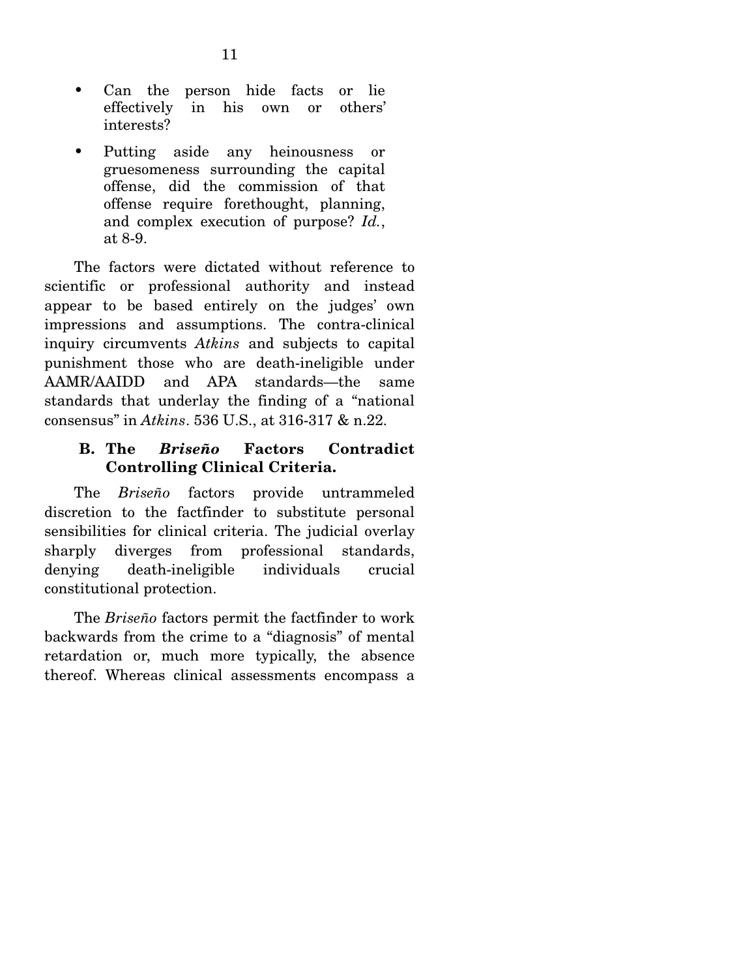- Can the person hide facts or lie effectively in his own or others' interests?
- Putting aside any heinousness or gruesomeness surrounding the capital offense, did the commission of that offense require forethought, planning, and complex execution of purpose? *Id.*, at 8-9.

 The factors were dictated without reference to scientific or professional authority and instead appear to be based entirely on the judges' own impressions and assumptions. The contra-clinical inquiry circumvents *Atkins* and subjects to capital punishment those who are death-ineligible under AAMR/AAIDD and APA standards—the same standards that underlay the finding of a "national consensus" in *Atkins*. 536 U.S., at 316-317 & n.22.

### **B. The** *Briseño* **Factors Contradict Controlling Clinical Criteria.**

 The *Briseño* factors provide untrammeled discretion to the factfinder to substitute personal sensibilities for clinical criteria. The judicial overlay sharply diverges from professional standards, denying death-ineligible individuals crucial constitutional protection.

 The *Briseño* factors permit the factfinder to work backwards from the crime to a "diagnosis" of mental retardation or, much more typically, the absence thereof. Whereas clinical assessments encompass a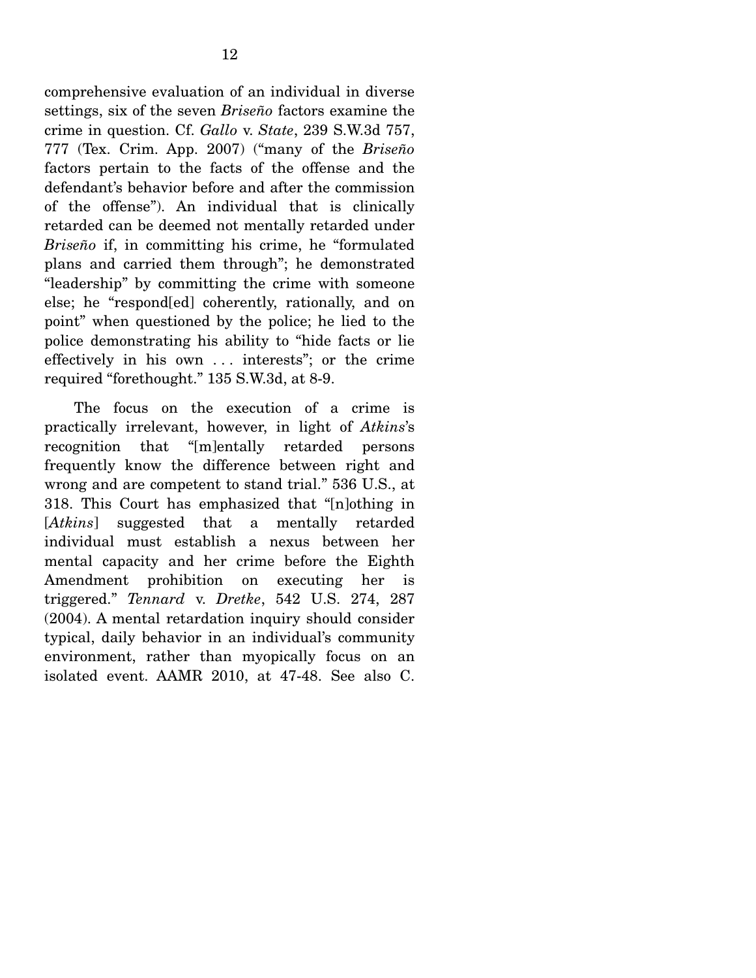comprehensive evaluation of an individual in diverse settings, six of the seven *Briseño* factors examine the crime in question. Cf. *Gallo* v. *State*, 239 S.W.3d 757, 777 (Tex. Crim. App. 2007) ("many of the *Briseño* factors pertain to the facts of the offense and the defendant's behavior before and after the commission of the offense"). An individual that is clinically retarded can be deemed not mentally retarded under *Briseño* if, in committing his crime, he "formulated plans and carried them through"; he demonstrated "leadership" by committing the crime with someone else; he "respond[ed] coherently, rationally, and on point" when questioned by the police; he lied to the police demonstrating his ability to "hide facts or lie effectively in his own . . . interests"; or the crime required "forethought." 135 S.W.3d, at 8-9.

 The focus on the execution of a crime is practically irrelevant, however, in light of *Atkins*'s recognition that "[m]entally retarded persons frequently know the difference between right and wrong and are competent to stand trial." 536 U.S., at 318. This Court has emphasized that "[n]othing in [*Atkins*] suggested that a mentally retarded individual must establish a nexus between her mental capacity and her crime before the Eighth Amendment prohibition on executing her is triggered." *Tennard* v. *Dretke*, 542 U.S. 274, 287 (2004). A mental retardation inquiry should consider typical, daily behavior in an individual's community environment, rather than myopically focus on an isolated event. AAMR 2010, at 47-48. See also C.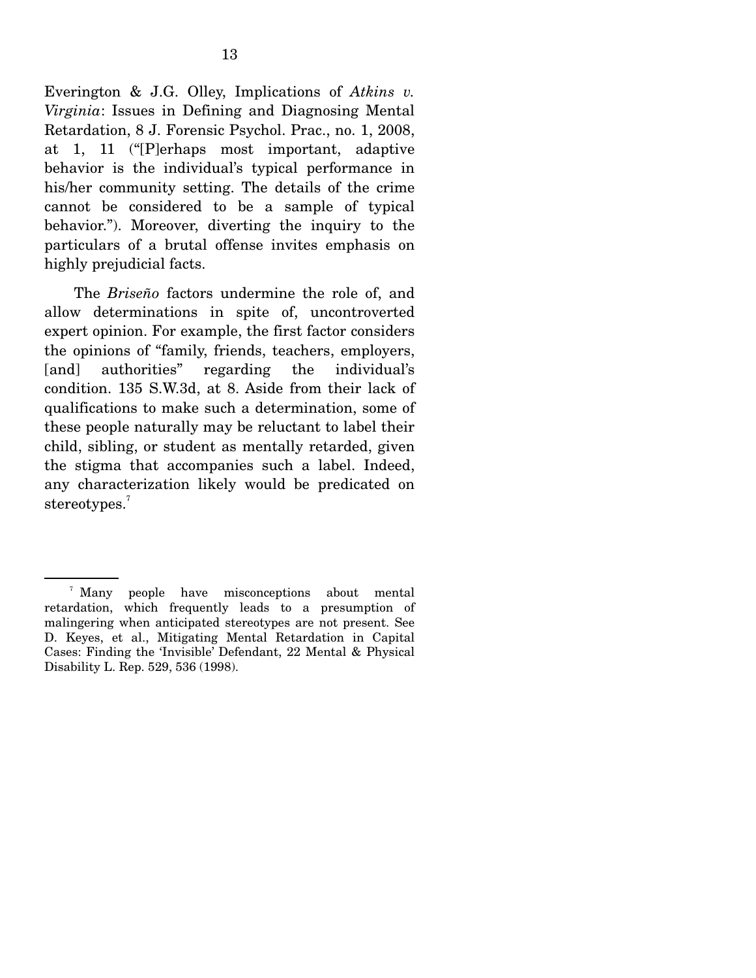Everington & J.G. Olley, Implications of *Atkins v. Virginia*: Issues in Defining and Diagnosing Mental Retardation, 8 J. Forensic Psychol. Prac., no. 1, 2008, at 1, 11 ("[P]erhaps most important, adaptive behavior is the individual's typical performance in his/her community setting. The details of the crime cannot be considered to be a sample of typical behavior."). Moreover, diverting the inquiry to the particulars of a brutal offense invites emphasis on highly prejudicial facts.

 The *Briseño* factors undermine the role of, and allow determinations in spite of, uncontroverted expert opinion. For example, the first factor considers the opinions of "family, friends, teachers, employers, [and] authorities" regarding the individual's condition. 135 S.W.3d, at 8. Aside from their lack of qualifications to make such a determination, some of these people naturally may be reluctant to label their child, sibling, or student as mentally retarded, given the stigma that accompanies such a label. Indeed, any characterization likely would be predicated on stereotypes.<sup>7</sup>

<sup>&</sup>lt;sup>7</sup> Many people have misconceptions about mental retardation, which frequently leads to a presumption of malingering when anticipated stereotypes are not present. See D. Keyes, et al., Mitigating Mental Retardation in Capital Cases: Finding the 'Invisible' Defendant, 22 Mental & Physical Disability L. Rep. 529, 536 (1998).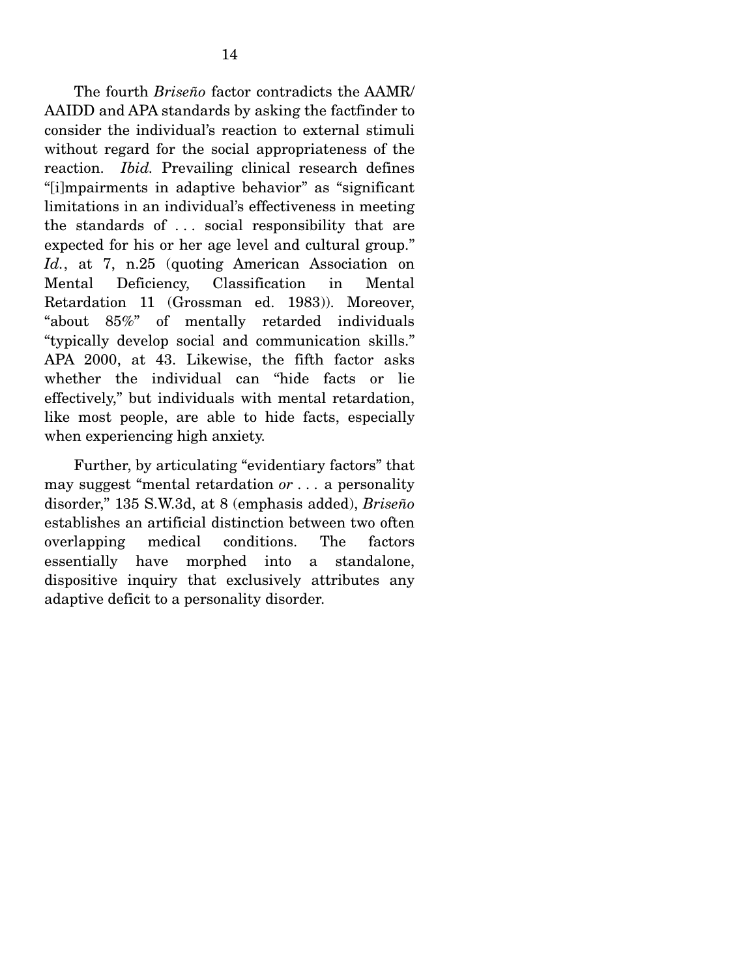The fourth *Briseño* factor contradicts the AAMR/ AAIDD and APA standards by asking the factfinder to consider the individual's reaction to external stimuli without regard for the social appropriateness of the reaction. *Ibid.* Prevailing clinical research defines "[i]mpairments in adaptive behavior" as "significant limitations in an individual's effectiveness in meeting the standards of . . . social responsibility that are expected for his or her age level and cultural group." *Id.*, at 7, n.25 (quoting American Association on Mental Deficiency, Classification in Mental Retardation 11 (Grossman ed. 1983)). Moreover, "about 85%" of mentally retarded individuals "typically develop social and communication skills." APA 2000, at 43. Likewise, the fifth factor asks whether the individual can "hide facts or lie effectively," but individuals with mental retardation, like most people, are able to hide facts, especially when experiencing high anxiety.

 Further, by articulating "evidentiary factors" that may suggest "mental retardation *or . . .* a personality disorder," 135 S.W.3d, at 8 (emphasis added), *Briseño*  establishes an artificial distinction between two often overlapping medical conditions. The factors essentially have morphed into a standalone, dispositive inquiry that exclusively attributes any adaptive deficit to a personality disorder.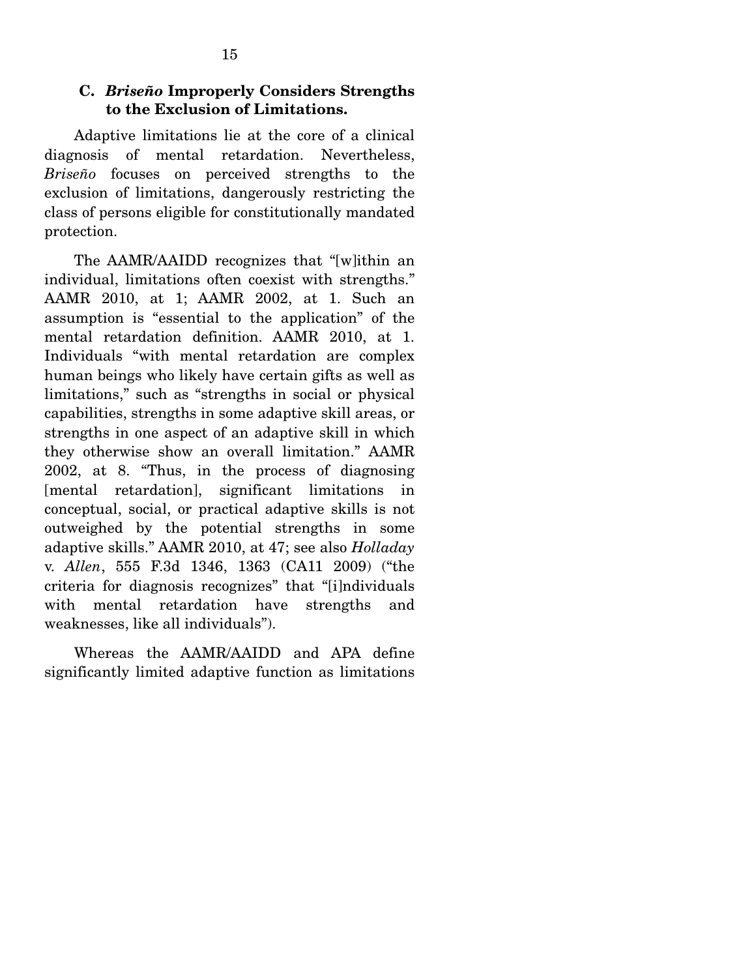### **C.** *Briseño* **Improperly Considers Strengths to the Exclusion of Limitations.**

 Adaptive limitations lie at the core of a clinical diagnosis of mental retardation. Nevertheless, *Briseño* focuses on perceived strengths to the exclusion of limitations, dangerously restricting the class of persons eligible for constitutionally mandated protection.

 The AAMR/AAIDD recognizes that "[w]ithin an individual, limitations often coexist with strengths." AAMR 2010, at 1; AAMR 2002, at 1. Such an assumption is "essential to the application" of the mental retardation definition. AAMR 2010, at 1. Individuals "with mental retardation are complex human beings who likely have certain gifts as well as limitations," such as "strengths in social or physical capabilities, strengths in some adaptive skill areas, or strengths in one aspect of an adaptive skill in which they otherwise show an overall limitation." AAMR 2002, at 8. "Thus, in the process of diagnosing [mental retardation], significant limitations in conceptual, social, or practical adaptive skills is not outweighed by the potential strengths in some adaptive skills." AAMR 2010, at 47; see also *Holladay*  v. *Allen*, 555 F.3d 1346, 1363 (CA11 2009) ("the criteria for diagnosis recognizes" that "[i]ndividuals with mental retardation have strengths and weaknesses, like all individuals").

 Whereas the AAMR/AAIDD and APA define significantly limited adaptive function as limitations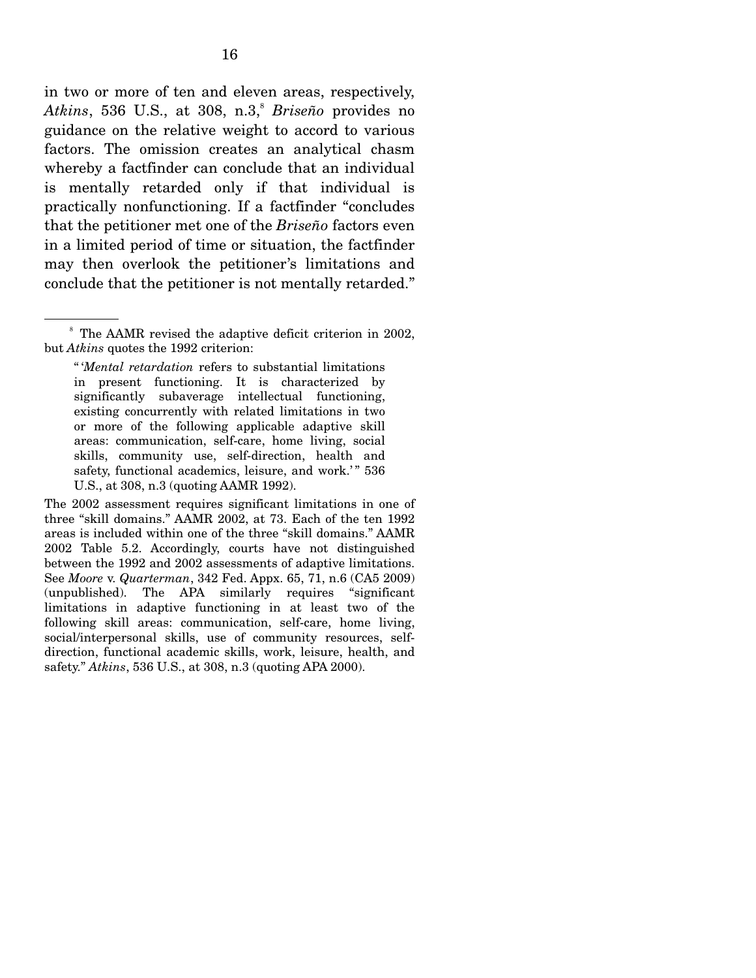in two or more of ten and eleven areas, respectively, Atkins, 536 U.S., at 308, n.3,<sup>8</sup> *Briseño* provides no guidance on the relative weight to accord to various factors. The omission creates an analytical chasm whereby a factfinder can conclude that an individual is mentally retarded only if that individual is practically nonfunctioning. If a factfinder "concludes that the petitioner met one of the *Briseño* factors even in a limited period of time or situation, the factfinder may then overlook the petitioner's limitations and conclude that the petitioner is not mentally retarded."

<sup>&</sup>lt;sup>8</sup> The AAMR revised the adaptive deficit criterion in 2002, but *Atkins* quotes the 1992 criterion:

<sup>&</sup>quot; '*Mental retardation* refers to substantial limitations in present functioning. It is characterized by significantly subaverage intellectual functioning, existing concurrently with related limitations in two or more of the following applicable adaptive skill areas: communication, self-care, home living, social skills, community use, self-direction, health and safety, functional academics, leisure, and work.'" 536 U.S., at 308, n.3 (quoting AAMR 1992).

The 2002 assessment requires significant limitations in one of three "skill domains." AAMR 2002, at 73. Each of the ten 1992 areas is included within one of the three "skill domains." AAMR 2002 Table 5.2. Accordingly, courts have not distinguished between the 1992 and 2002 assessments of adaptive limitations. See *Moore* v. *Quarterman*, 342 Fed. Appx. 65, 71, n.6 (CA5 2009) (unpublished). The APA similarly requires "significant limitations in adaptive functioning in at least two of the following skill areas: communication, self-care, home living, social/interpersonal skills, use of community resources, selfdirection, functional academic skills, work, leisure, health, and safety." *Atkins*, 536 U.S., at 308, n.3 (quoting APA 2000).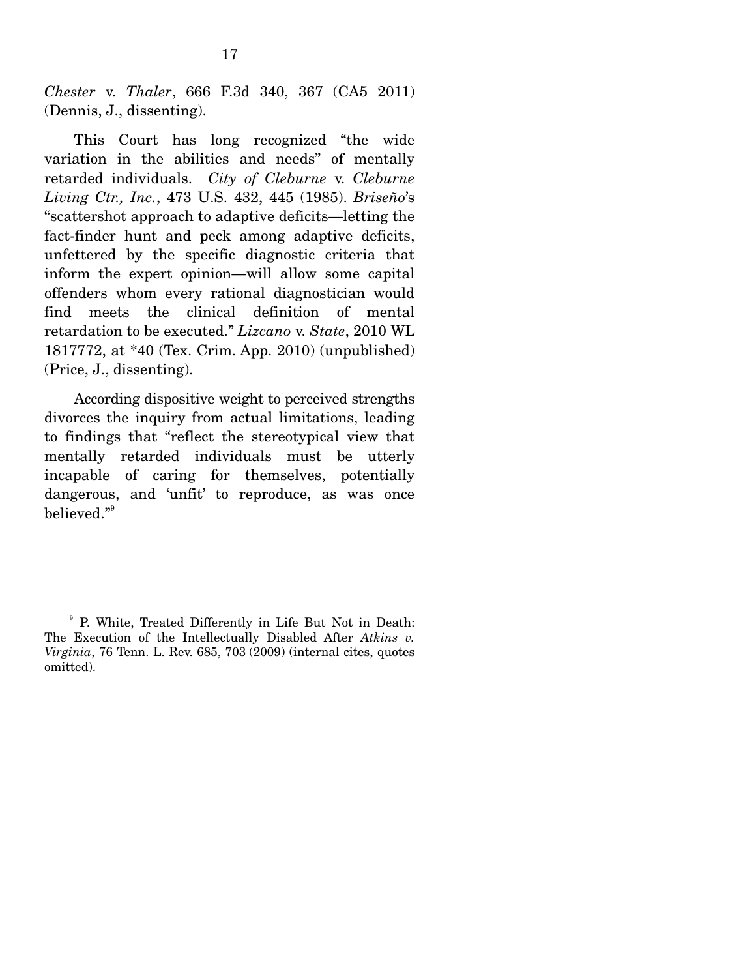*Chester* v. *Thaler*, 666 F.3d 340, 367 (CA5 2011) (Dennis, J., dissenting).

 This Court has long recognized "the wide variation in the abilities and needs" of mentally retarded individuals. *City of Cleburne* v. *Cleburne Living Ctr., Inc.*, 473 U.S. 432, 445 (1985). *Briseño*'s "scattershot approach to adaptive deficits—letting the fact-finder hunt and peck among adaptive deficits, unfettered by the specific diagnostic criteria that inform the expert opinion—will allow some capital offenders whom every rational diagnostician would find meets the clinical definition of mental retardation to be executed." *Lizcano* v. *State*, 2010 WL 1817772, at \*40 (Tex. Crim. App. 2010) (unpublished) (Price, J., dissenting).

 According dispositive weight to perceived strengths divorces the inquiry from actual limitations, leading to findings that "reflect the stereotypical view that mentally retarded individuals must be utterly incapable of caring for themselves, potentially dangerous, and 'unfit' to reproduce, as was once  $b$ elieved." $^{\circ}$ 

<sup>9</sup> P. White, Treated Differently in Life But Not in Death: The Execution of the Intellectually Disabled After *Atkins v. Virginia*, 76 Tenn. L. Rev. 685, 703 (2009) (internal cites, quotes omitted).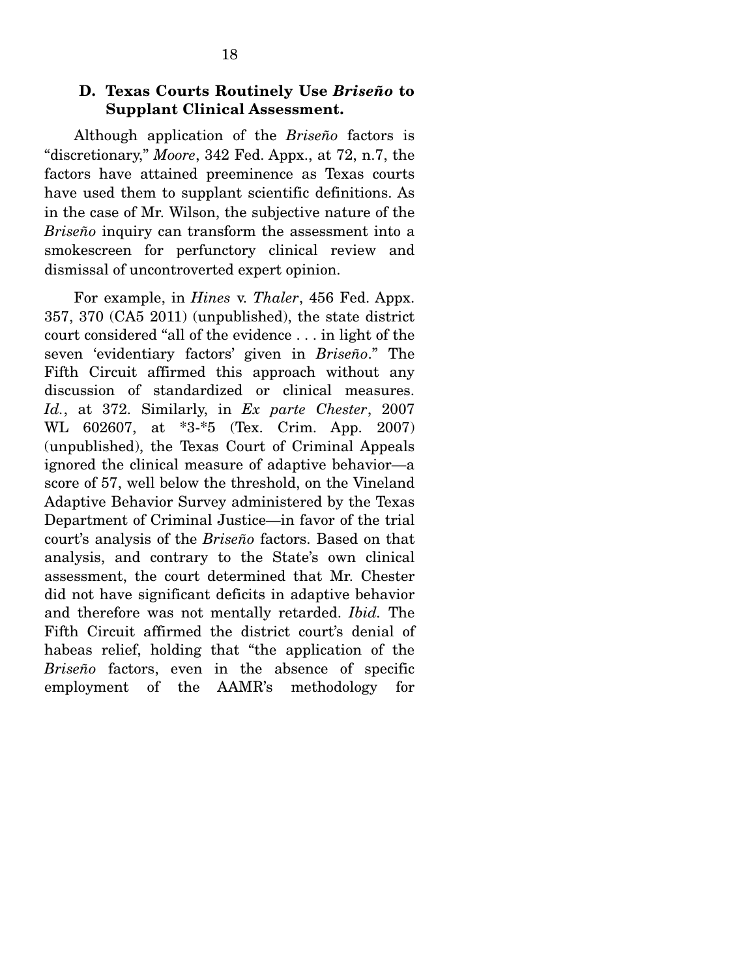### **D. Texas Courts Routinely Use** *Briseño* **to Supplant Clinical Assessment.**

 Although application of the *Briseño* factors is "discretionary," *Moore*, 342 Fed. Appx., at 72, n.7, the factors have attained preeminence as Texas courts have used them to supplant scientific definitions. As in the case of Mr. Wilson, the subjective nature of the *Briseño* inquiry can transform the assessment into a smokescreen for perfunctory clinical review and dismissal of uncontroverted expert opinion.

 For example, in *Hines* v. *Thaler*, 456 Fed. Appx. 357, 370 (CA5 2011) (unpublished), the state district court considered "all of the evidence . . . in light of the seven 'evidentiary factors' given in *Briseño*." The Fifth Circuit affirmed this approach without any discussion of standardized or clinical measures. *Id.*, at 372. Similarly, in *Ex parte Chester*, 2007 WL 602607, at \*3-\*5 (Tex. Crim. App. 2007) (unpublished), the Texas Court of Criminal Appeals ignored the clinical measure of adaptive behavior—a score of 57, well below the threshold, on the Vineland Adaptive Behavior Survey administered by the Texas Department of Criminal Justice—in favor of the trial court's analysis of the *Briseño* factors. Based on that analysis, and contrary to the State's own clinical assessment, the court determined that Mr. Chester did not have significant deficits in adaptive behavior and therefore was not mentally retarded. *Ibid.* The Fifth Circuit affirmed the district court's denial of habeas relief, holding that "the application of the *Briseño* factors, even in the absence of specific employment of the AAMR's methodology for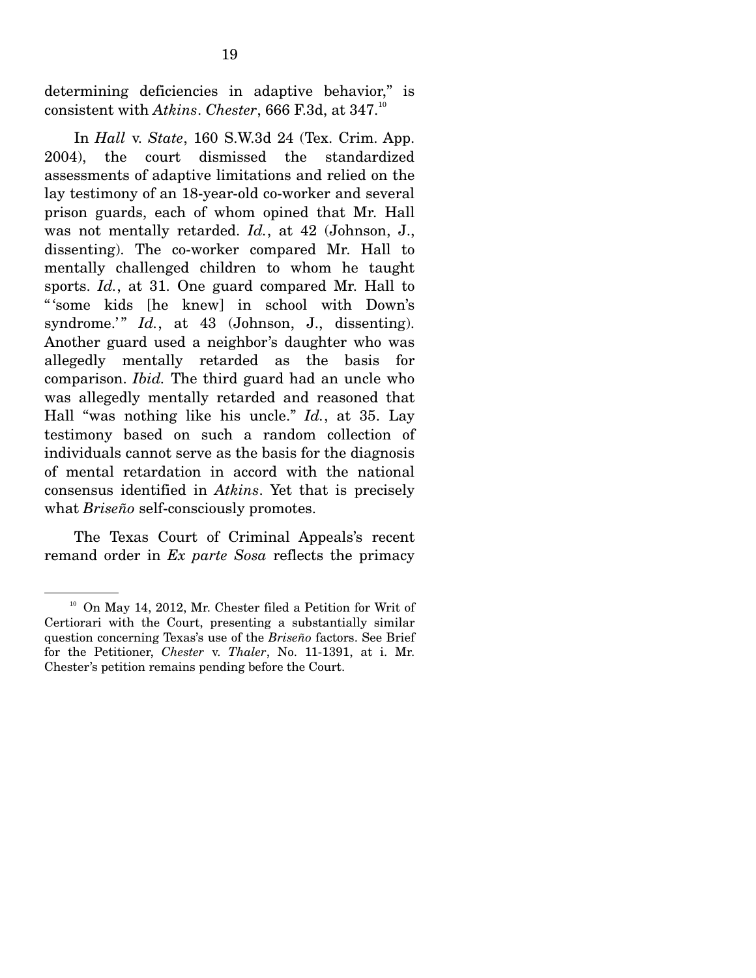determining deficiencies in adaptive behavior," is consistent with *Atkins*. *Chester*, 666 F.3d, at 347.<sup>10</sup>

 In *Hall* v. *State*, 160 S.W.3d 24 (Tex. Crim. App. 2004), the court dismissed the standardized assessments of adaptive limitations and relied on the lay testimony of an 18-year-old co-worker and several prison guards, each of whom opined that Mr. Hall was not mentally retarded. *Id.*, at 42 (Johnson, J., dissenting). The co-worker compared Mr. Hall to mentally challenged children to whom he taught sports. *Id.*, at 31. One guard compared Mr. Hall to " 'some kids [he knew] in school with Down's syndrome.'" *Id.*, at 43 (Johnson, J., dissenting). Another guard used a neighbor's daughter who was allegedly mentally retarded as the basis for comparison. *Ibid.* The third guard had an uncle who was allegedly mentally retarded and reasoned that Hall "was nothing like his uncle." *Id.*, at 35. Lay testimony based on such a random collection of individuals cannot serve as the basis for the diagnosis of mental retardation in accord with the national consensus identified in *Atkins*. Yet that is precisely what *Briseño* self-consciously promotes.

 The Texas Court of Criminal Appeals's recent remand order in *Ex parte Sosa* reflects the primacy

<sup>&</sup>lt;sup>10</sup> On May 14, 2012, Mr. Chester filed a Petition for Writ of Certiorari with the Court, presenting a substantially similar question concerning Texas's use of the *Briseño* factors. See Brief for the Petitioner, *Chester* v. *Thaler*, No. 11-1391, at i. Mr. Chester's petition remains pending before the Court.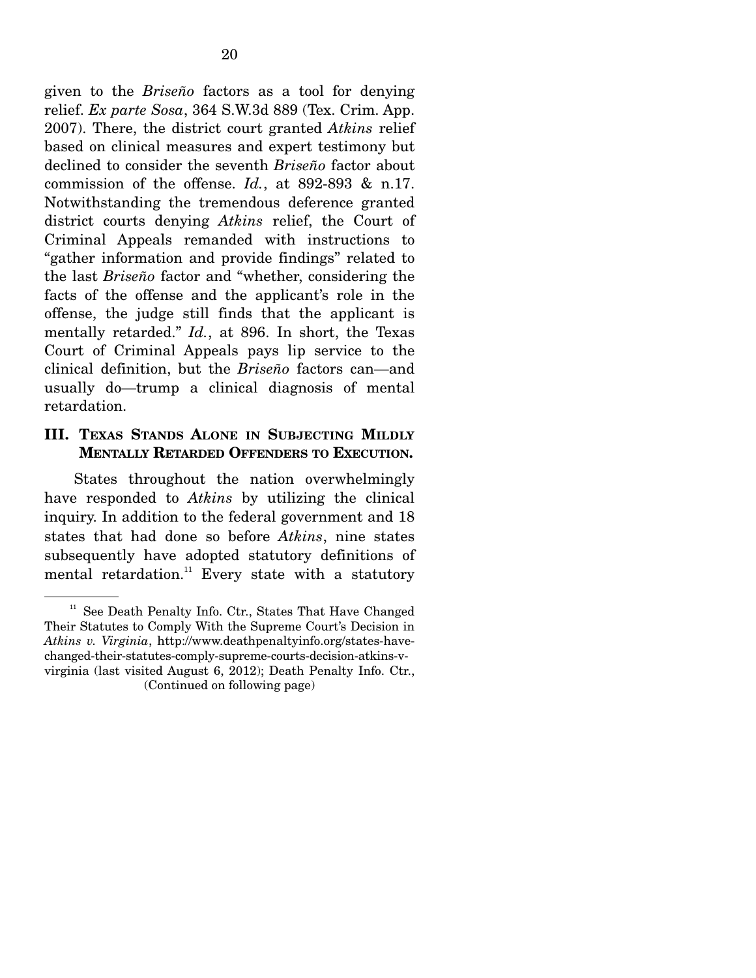given to the *Briseño* factors as a tool for denying relief. *Ex parte Sosa*, 364 S.W.3d 889 (Tex. Crim. App. 2007). There, the district court granted *Atkins* relief based on clinical measures and expert testimony but declined to consider the seventh *Briseño* factor about commission of the offense. *Id.*, at 892-893 & n.17. Notwithstanding the tremendous deference granted district courts denying *Atkins* relief, the Court of Criminal Appeals remanded with instructions to "gather information and provide findings" related to the last *Briseño* factor and "whether, considering the facts of the offense and the applicant's role in the offense, the judge still finds that the applicant is mentally retarded." *Id.*, at 896. In short, the Texas Court of Criminal Appeals pays lip service to the clinical definition, but the *Briseño* factors can—and usually do—trump a clinical diagnosis of mental retardation.

#### **III. TEXAS STANDS ALONE IN SUBJECTING MILDLY MENTALLY RETARDED OFFENDERS TO EXECUTION.**

 States throughout the nation overwhelmingly have responded to *Atkins* by utilizing the clinical inquiry. In addition to the federal government and 18 states that had done so before *Atkins*, nine states subsequently have adopted statutory definitions of mental retardation. $11$  Every state with a statutory

<sup>&</sup>lt;sup>11</sup> See Death Penalty Info. Ctr., States That Have Changed Their Statutes to Comply With the Supreme Court's Decision in *Atkins v. Virginia*, http://www.deathpenaltyinfo.org/states-havechanged-their-statutes-comply-supreme-courts-decision-atkins-vvirginia (last visited August 6, 2012); Death Penalty Info. Ctr., (Continued on following page)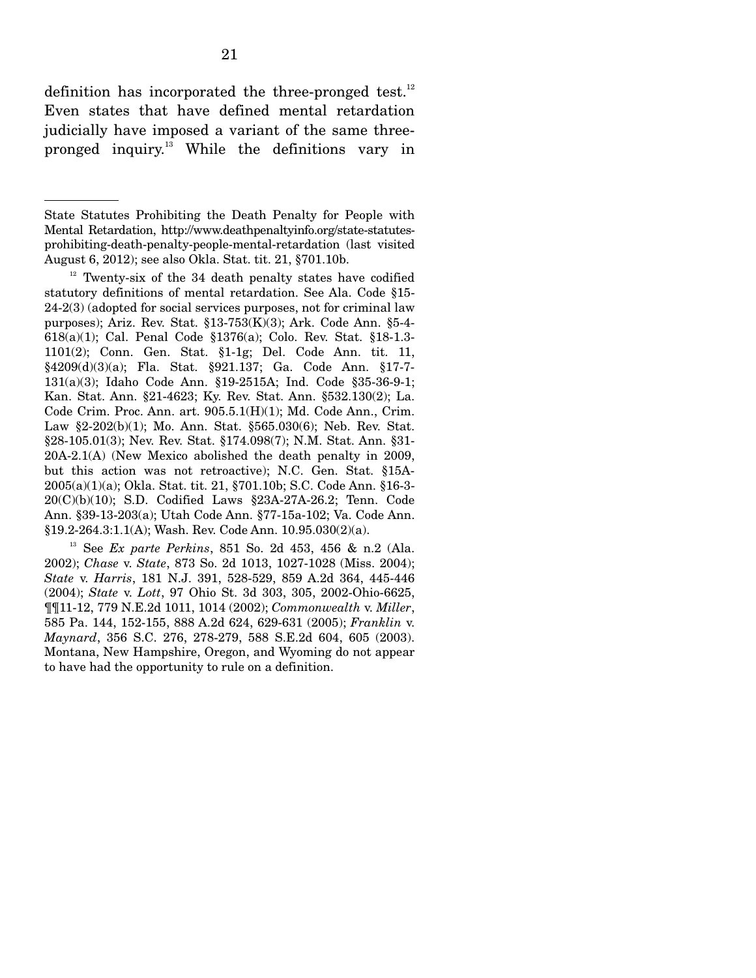definition has incorporated the three-pronged test.<sup>12</sup> Even states that have defined mental retardation judicially have imposed a variant of the same threepronged inquiry.13 While the definitions vary in

13 See *Ex parte Perkins*, 851 So. 2d 453, 456 & n.2 (Ala. 2002); *Chase* v. *State*, 873 So. 2d 1013, 1027-1028 (Miss. 2004); *State* v. *Harris*, 181 N.J. 391, 528-529, 859 A.2d 364, 445-446 (2004); *State* v. *Lott*, 97 Ohio St. 3d 303, 305, 2002-Ohio-6625, ¶¶11-12, 779 N.E.2d 1011, 1014 (2002); *Commonwealth* v. *Miller*, 585 Pa. 144, 152-155, 888 A.2d 624, 629-631 (2005); *Franklin* v. *Maynard*, 356 S.C. 276, 278-279, 588 S.E.2d 604, 605 (2003). Montana, New Hampshire, Oregon, and Wyoming do not appear to have had the opportunity to rule on a definition.

State Statutes Prohibiting the Death Penalty for People with Mental Retardation, http://www.deathpenaltyinfo.org/state-statutesprohibiting-death-penalty-people-mental-retardation (last visited August 6, 2012); see also Okla. Stat. tit. 21, §701.10b.

 $12$  Twenty-six of the 34 death penalty states have codified statutory definitions of mental retardation. See Ala. Code §15- 24-2(3) (adopted for social services purposes, not for criminal law purposes); Ariz. Rev. Stat. §13-753(K)(3); Ark. Code Ann. §5-4- 618(a)(1); Cal. Penal Code §1376(a); Colo. Rev. Stat. §18-1.3- 1101(2); Conn. Gen. Stat. §1-1g; Del. Code Ann. tit. 11, §4209(d)(3)(a); Fla. Stat. §921.137; Ga. Code Ann. §17-7- 131(a)(3); Idaho Code Ann. §19-2515A; Ind. Code §35-36-9-1; Kan. Stat. Ann. §21-4623; Ky. Rev. Stat. Ann. §532.130(2); La. Code Crim. Proc. Ann. art. 905.5.1(H)(1); Md. Code Ann., Crim. Law §2-202(b)(1); Mo. Ann. Stat. §565.030(6); Neb. Rev. Stat. §28-105.01(3); Nev. Rev. Stat. §174.098(7); N.M. Stat. Ann. §31- 20A-2.1(A) (New Mexico abolished the death penalty in 2009, but this action was not retroactive); N.C. Gen. Stat. §15A-2005(a)(1)(a); Okla. Stat. tit. 21, §701.10b; S.C. Code Ann. §16-3- 20(C)(b)(10); S.D. Codified Laws §23A-27A-26.2; Tenn. Code Ann. §39-13-203(a); Utah Code Ann. §77-15a-102; Va. Code Ann. §19.2-264.3:1.1(A); Wash. Rev. Code Ann. 10.95.030(2)(a).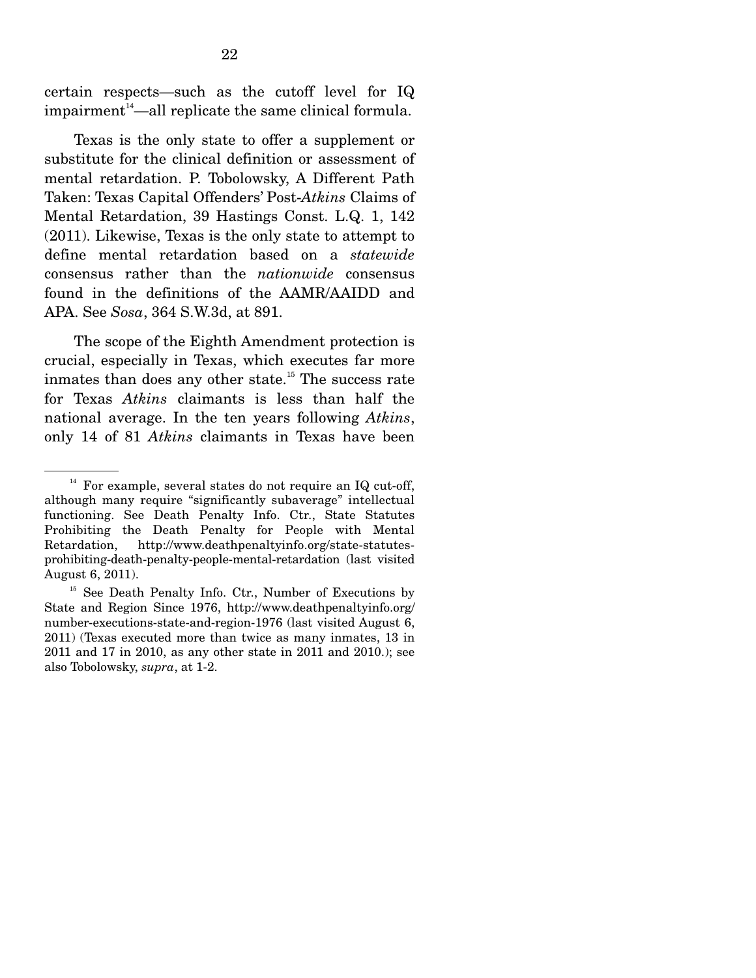certain respects—such as the cutoff level for IQ  $impairment<sup>14</sup>$ —all replicate the same clinical formula.

 Texas is the only state to offer a supplement or substitute for the clinical definition or assessment of mental retardation. P. Tobolowsky, A Different Path Taken: Texas Capital Offenders' Post-*Atkins* Claims of Mental Retardation, 39 Hastings Const. L.Q. 1, 142 (2011). Likewise, Texas is the only state to attempt to define mental retardation based on a *statewide* consensus rather than the *nationwide* consensus found in the definitions of the AAMR/AAIDD and APA. See *Sosa*, 364 S.W.3d, at 891.

 The scope of the Eighth Amendment protection is crucial, especially in Texas, which executes far more inmates than does any other state.<sup>15</sup> The success rate for Texas *Atkins* claimants is less than half the national average. In the ten years following *Atkins*, only 14 of 81 *Atkins* claimants in Texas have been

 $14$  For example, several states do not require an IQ cut-off, although many require "significantly subaverage" intellectual functioning. See Death Penalty Info. Ctr., State Statutes Prohibiting the Death Penalty for People with Mental Retardation, http://www.deathpenaltyinfo.org/state-statutesprohibiting-death-penalty-people-mental-retardation (last visited August 6, 2011).

<sup>&</sup>lt;sup>15</sup> See Death Penalty Info. Ctr., Number of Executions by State and Region Since 1976, http://www.deathpenaltyinfo.org/ number-executions-state-and-region-1976 (last visited August 6, 2011) (Texas executed more than twice as many inmates, 13 in 2011 and 17 in 2010, as any other state in 2011 and 2010.); see also Tobolowsky, *supra*, at 1-2.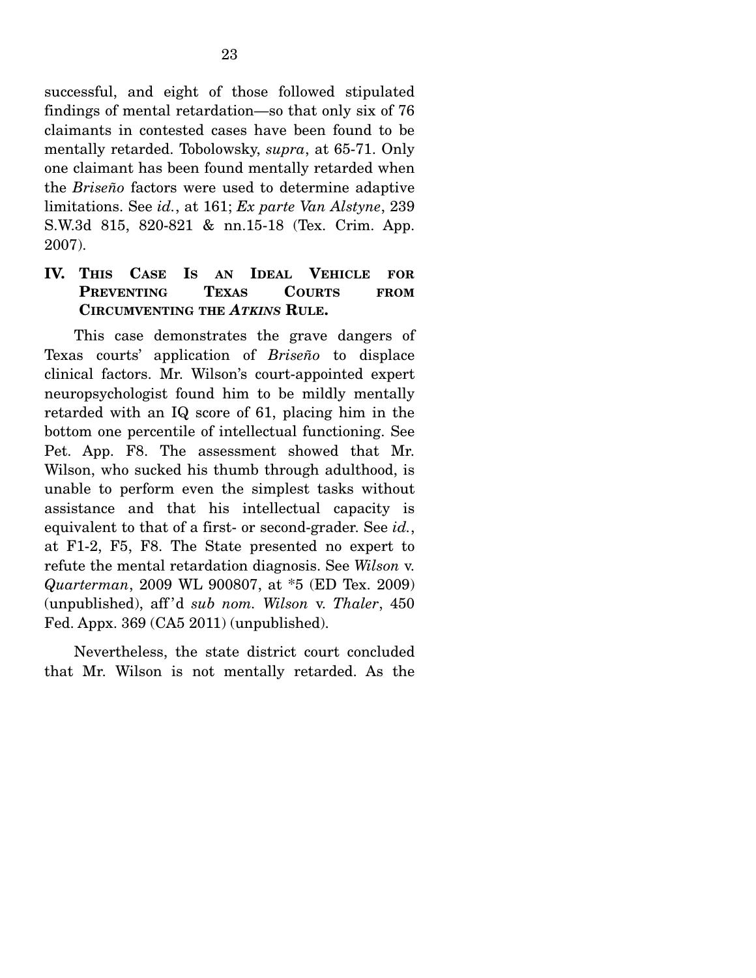successful, and eight of those followed stipulated findings of mental retardation—so that only six of 76 claimants in contested cases have been found to be mentally retarded. Tobolowsky, *supra*, at 65-71. Only one claimant has been found mentally retarded when the *Briseño* factors were used to determine adaptive limitations. See *id.*, at 161; *Ex parte Van Alstyne*, 239 S.W.3d 815, 820-821 & nn.15-18 (Tex. Crim. App. 2007).

### **IV. THIS CASE IS AN IDEAL VEHICLE FOR PREVENTING TEXAS COURTS FROM CIRCUMVENTING THE** *ATKINS* **RULE.**

 This case demonstrates the grave dangers of Texas courts' application of *Briseño* to displace clinical factors. Mr. Wilson's court-appointed expert neuropsychologist found him to be mildly mentally retarded with an IQ score of 61, placing him in the bottom one percentile of intellectual functioning. See Pet. App. F8. The assessment showed that Mr. Wilson, who sucked his thumb through adulthood, is unable to perform even the simplest tasks without assistance and that his intellectual capacity is equivalent to that of a first- or second-grader. See *id.*, at F1-2, F5, F8. The State presented no expert to refute the mental retardation diagnosis. See *Wilson* v. *Quarterman*, 2009 WL 900807, at \*5 (ED Tex. 2009) (unpublished), aff 'd *sub nom. Wilson* v. *Thaler*, 450 Fed. Appx. 369 (CA5 2011) (unpublished).

 Nevertheless, the state district court concluded that Mr. Wilson is not mentally retarded. As the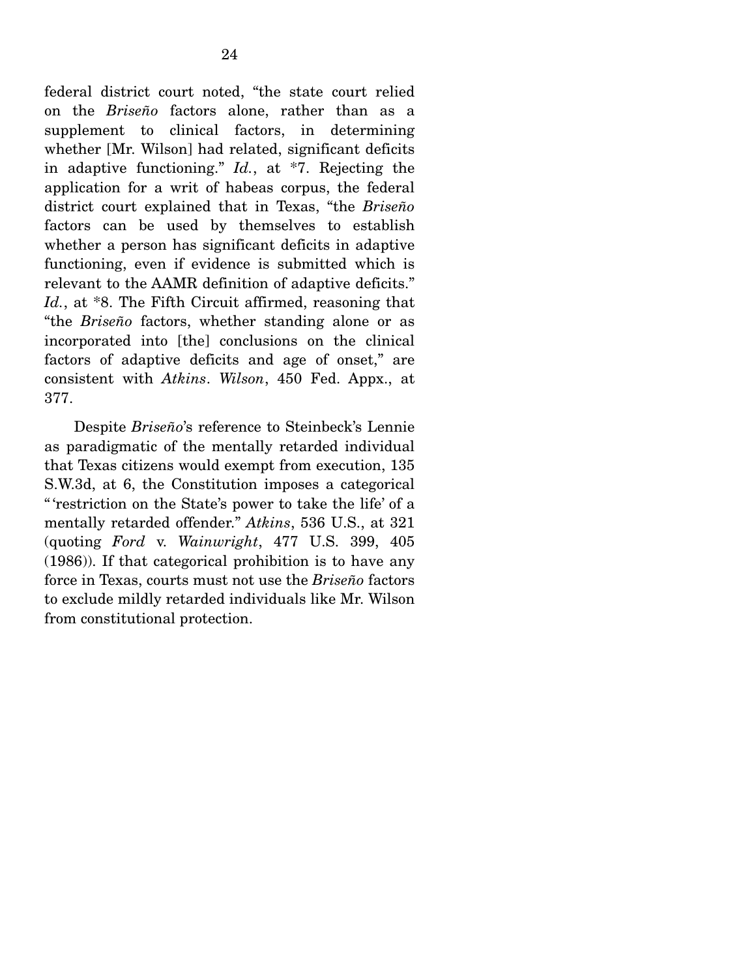federal district court noted, "the state court relied on the *Briseño* factors alone, rather than as a supplement to clinical factors, in determining whether [Mr. Wilson] had related, significant deficits in adaptive functioning." *Id.*, at \*7. Rejecting the application for a writ of habeas corpus, the federal district court explained that in Texas, "the *Briseño* factors can be used by themselves to establish whether a person has significant deficits in adaptive functioning, even if evidence is submitted which is relevant to the AAMR definition of adaptive deficits." Id., at \*8. The Fifth Circuit affirmed, reasoning that "the *Briseño* factors, whether standing alone or as incorporated into [the] conclusions on the clinical factors of adaptive deficits and age of onset," are consistent with *Atkins*. *Wilson*, 450 Fed. Appx., at 377.

 Despite *Briseño*'s reference to Steinbeck's Lennie as paradigmatic of the mentally retarded individual that Texas citizens would exempt from execution, 135 S.W.3d, at 6, the Constitution imposes a categorical " 'restriction on the State's power to take the life' of a mentally retarded offender." *Atkins*, 536 U.S., at 321 (quoting *Ford* v. *Wainwright*, 477 U.S. 399, 405 (1986)). If that categorical prohibition is to have any force in Texas, courts must not use the *Briseño* factors to exclude mildly retarded individuals like Mr. Wilson from constitutional protection.